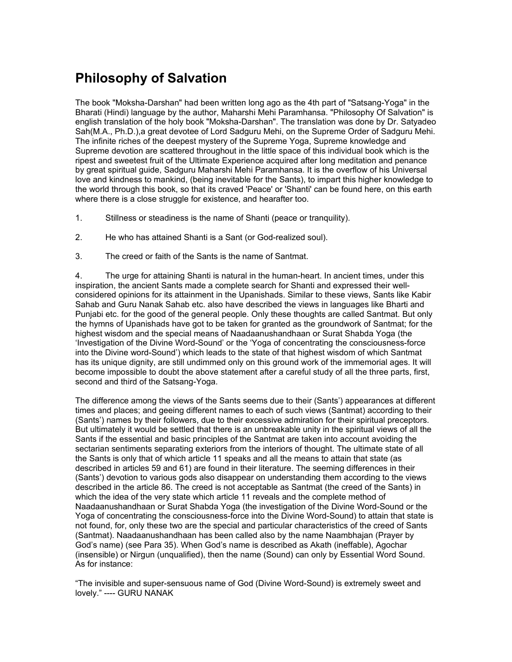## **Philosophy of Salvation**

The book "Moksha-Darshan" had been written long ago as the 4th part of "Satsang-Yoga" in the Bharati (Hindi) language by the author, Maharshi Mehi Paramhansa. "Philosophy Of Salvation" is english translation of the holy book "Moksha-Darshan". The translation was done by Dr. Satyadeo Sah(M.A., Ph.D.),a great devotee of Lord Sadguru Mehi, on the Supreme Order of Sadguru Mehi. The infinite riches of the deepest mystery of the Supreme Yoga, Supreme knowledge and Supreme devotion are scattered throughout in the little space of this individual book which is the ripest and sweetest fruit of the Ultimate Experience acquired after long meditation and penance by great spiritual guide, Sadguru Maharshi Mehi Paramhansa. It is the overflow of his Universal love and kindness to mankind, (being inevitable for the Sants), to impart this higher knowledge to the world through this book, so that its craved 'Peace' or 'Shanti' can be found here, on this earth where there is a close struggle for existence, and hearafter too.

- 1. Stillness or steadiness is the name of Shanti (peace or tranquility).
- 2. He who has attained Shanti is a Sant (or God-realized soul).
- 3. The creed or faith of the Sants is the name of Santmat.

4. The urge for attaining Shanti is natural in the human-heart. In ancient times, under this inspiration, the ancient Sants made a complete search for Shanti and expressed their wellconsidered opinions for its attainment in the Upanishads. Similar to these views, Sants like Kabir Sahab and Guru Nanak Sahab etc. also have described the views in languages like Bharti and Punjabi etc. for the good of the general people. Only these thoughts are called Santmat. But only the hymns of Upanishads have got to be taken for granted as the groundwork of Santmat; for the highest wisdom and the special means of Naadaanushandhaan or Surat Shabda Yoga (the 'Investigation of the Divine Word-Sound' or the 'Yoga of concentrating the consciousness-force into the Divine word-Sound') which leads to the state of that highest wisdom of which Santmat has its unique dignity, are still undimmed only on this ground work of the immemorial ages. It will become impossible to doubt the above statement after a careful study of all the three parts, first, second and third of the Satsang-Yoga.

The difference among the views of the Sants seems due to their (Sants') appearances at different times and places; and geeing different names to each of such views (Santmat) according to their (Sants') names by their followers, due to their excessive admiration for their spiritual preceptors. But ultimately it would be settled that there is an unbreakable unity in the spiritual views of all the Sants if the essential and basic principles of the Santmat are taken into account avoiding the sectarian sentiments separating exteriors from the interiors of thought. The ultimate state of all the Sants is only that of which article 11 speaks and all the means to attain that state (as described in articles 59 and 61) are found in their literature. The seeming differences in their (Sants') devotion to various gods also disappear on understanding them according to the views described in the article 86. The creed is not acceptable as Santmat (the creed of the Sants) in which the idea of the very state which article 11 reveals and the complete method of Naadaanushandhaan or Surat Shabda Yoga (the investigation of the Divine Word-Sound or the Yoga of concentrating the consciousness-force into the Divine Word-Sound) to attain that state is not found, for, only these two are the special and particular characteristics of the creed of Sants (Santmat). Naadaanushandhaan has been called also by the name Naambhajan (Prayer by God's name) (see Para 35). When God's name is described as Akath (ineffable), Agochar (insensible) or Nirgun (unqualified), then the name (Sound) can only by Essential Word Sound. As for instance:

"The invisible and super-sensuous name of God (Divine Word-Sound) is extremely sweet and lovely." ---- GURU NANAK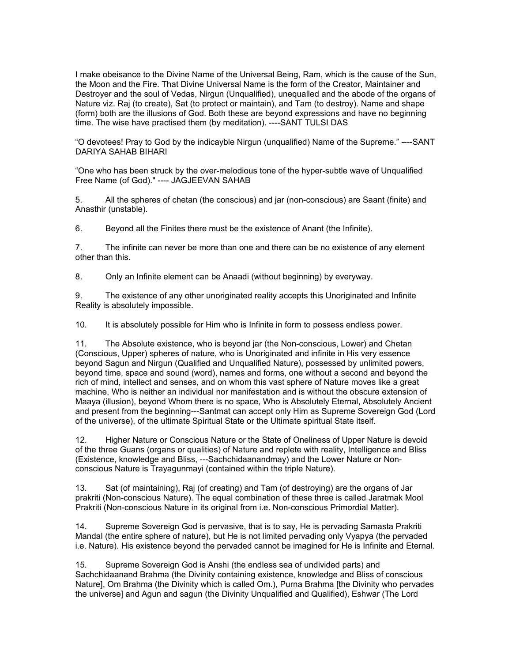I make obeisance to the Divine Name of the Universal Being, Ram, which is the cause of the Sun, the Moon and the Fire. That Divine Universal Name is the form of the Creator, Maintainer and Destroyer and the soul of Vedas, Nirgun (Unqualified), unequalled and the abode of the organs of Nature viz. Raj (to create), Sat (to protect or maintain), and Tam (to destroy). Name and shape (form) both are the illusions of God. Both these are beyond expressions and have no beginning time. The wise have practised them (by meditation). ----SANT TULSI DAS

"O devotees! Pray to God by the indicayble Nirgun (unqualified) Name of the Supreme." ----SANT DARIYA SAHAB BIHARI

"One who has been struck by the over-melodious tone of the hyper-subtle wave of Unqualified Free Name (of God)." ---- JAGJEEVAN SAHAB

5. All the spheres of chetan (the conscious) and jar (non-conscious) are Saant (finite) and Anasthir (unstable).

6. Beyond all the Finites there must be the existence of Anant (the Infinite).

7. The infinite can never be more than one and there can be no existence of any element other than this.

8. Only an Infinite element can be Anaadi (without beginning) by everyway.

9. The existence of any other unoriginated reality accepts this Unoriginated and Infinite Reality is absolutely impossible.

10. It is absolutely possible for Him who is Infinite in form to possess endless power.

11. The Absolute existence, who is beyond jar (the Non-conscious, Lower) and Chetan (Conscious, Upper) spheres of nature, who is Unoriginated and infinite in His very essence beyond Sagun and Nirgun (Qualified and Unqualified Nature), possessed by unlimited powers, beyond time, space and sound (word), names and forms, one without a second and beyond the rich of mind, intellect and senses, and on whom this vast sphere of Nature moves like a great machine, Who is neither an individual nor manifestation and is without the obscure extension of Maaya (illusion), beyond Whom there is no space, Who is Absolutely Eternal, Absolutely Ancient and present from the beginning---Santmat can accept only Him as Supreme Sovereign God (Lord of the universe), of the ultimate Spiritual State or the Ultimate spiritual State itself.

12. Higher Nature or Conscious Nature or the State of Oneliness of Upper Nature is devoid of the three Guans (organs or qualities) of Nature and replete with reality, Intelligence and Bliss (Existence, knowledge and Bliss, ---Sachchidaanandmay) and the Lower Nature or Nonconscious Nature is Trayagunmayi (contained within the triple Nature).

13. Sat (of maintaining), Raj (of creating) and Tam (of destroying) are the organs of Jar prakriti (Non-conscious Nature). The equal combination of these three is called Jaratmak Mool Prakriti (Non-conscious Nature in its original from i.e. Non-conscious Primordial Matter).

14. Supreme Sovereign God is pervasive, that is to say, He is pervading Samasta Prakriti Mandal (the entire sphere of nature), but He is not limited pervading only Vyapya (the pervaded i.e. Nature). His existence beyond the pervaded cannot be imagined for He is Infinite and Eternal.

15. Supreme Sovereign God is Anshi (the endless sea of undivided parts) and Sachchidaanand Brahma (the Divinity containing existence, knowledge and Bliss of conscious Nature], Om Brahma (the Divinity which is called Om.), Purna Brahma [the Divinity who pervades the universe] and Agun and sagun (the Divinity Unqualified and Qualified), Eshwar (The Lord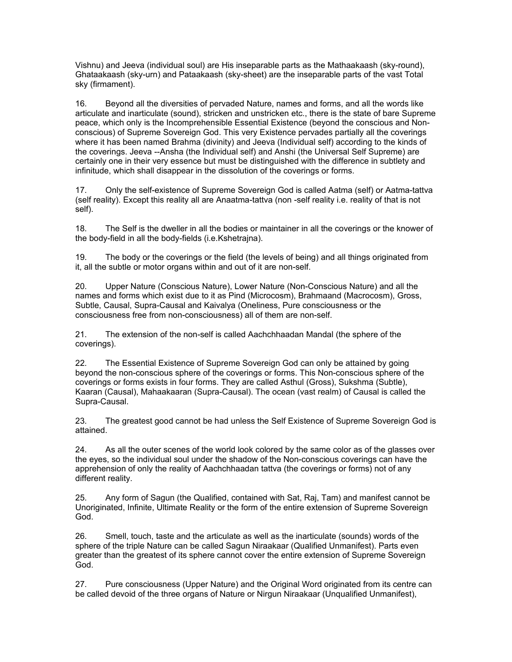Vishnu) and Jeeva (individual soul) are His inseparable parts as the Mathaakaash (sky-round), Ghataakaash (sky-urn) and Pataakaash (sky-sheet) are the inseparable parts of the vast Total sky (firmament).

16. Beyond all the diversities of pervaded Nature, names and forms, and all the words like articulate and inarticulate (sound), stricken and unstricken etc., there is the state of bare Supreme peace, which only is the Incomprehensible Essential Existence (beyond the conscious and Nonconscious) of Supreme Sovereign God. This very Existence pervades partially all the coverings where it has been named Brahma (divinity) and Jeeva (Individual self) according to the kinds of the coverings. Jeeva --Ansha (the Individual self) and Anshi (the Universal Self Supreme) are certainly one in their very essence but must be distinguished with the difference in subtlety and infinitude, which shall disappear in the dissolution of the coverings or forms.

17. Only the self-existence of Supreme Sovereign God is called Aatma (self) or Aatma-tattva (self reality). Except this reality all are Anaatma-tattva (non -self reality i.e. reality of that is not self).

18. The Self is the dweller in all the bodies or maintainer in all the coverings or the knower of the body-field in all the body-fields (i.e.Kshetrajna).

19. The body or the coverings or the field (the levels of being) and all things originated from it, all the subtle or motor organs within and out of it are non-self.

20. Upper Nature (Conscious Nature), Lower Nature (Non-Conscious Nature) and all the names and forms which exist due to it as Pind (Microcosm), Brahmaand (Macrocosm), Gross, Subtle, Causal, Supra-Causal and Kaivalya (Oneliness, Pure consciousness or the consciousness free from non-consciousness) all of them are non-self.

21. The extension of the non-self is called Aachchhaadan Mandal (the sphere of the coverings).

22. The Essential Existence of Supreme Sovereign God can only be attained by going beyond the non-conscious sphere of the coverings or forms. This Non-conscious sphere of the coverings or forms exists in four forms. They are called Asthul (Gross), Sukshma (Subtle), Kaaran (Causal), Mahaakaaran (Supra-Causal). The ocean (vast realm) of Causal is called the Supra-Causal.

23. The greatest good cannot be had unless the Self Existence of Supreme Sovereign God is attained.

24. As all the outer scenes of the world look colored by the same color as of the glasses over the eyes, so the individual soul under the shadow of the Non-conscious coverings can have the apprehension of only the reality of Aachchhaadan tattva (the coverings or forms) not of any different reality.

25. Any form of Sagun (the Qualified, contained with Sat, Raj, Tam) and manifest cannot be Unoriginated, Infinite, Ultimate Reality or the form of the entire extension of Supreme Sovereign God.

26. Smell, touch, taste and the articulate as well as the inarticulate (sounds) words of the sphere of the triple Nature can be called Sagun Niraakaar (Qualified Unmanifest). Parts even greater than the greatest of its sphere cannot cover the entire extension of Supreme Sovereign God.

27. Pure consciousness (Upper Nature) and the Original Word originated from its centre can be called devoid of the three organs of Nature or Nirgun Niraakaar (Unqualified Unmanifest),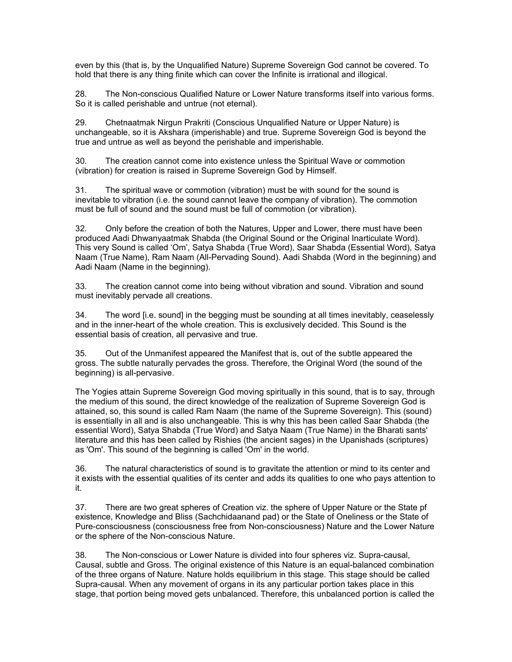even by this (that is, by the Unqualified Nature) Supreme Sovereign God cannot be covered. To hold that there is any thing finite which can cover the Infinite is irrational and illogical.

28. The Non-conscious Qualified Nature or Lower Nature transforms itself into various forms. So it is called perishable and untrue (not eternal).

29. Chetnaatmak Nirgun Prakriti (Conscious Unqualified Nature or Upper Nature) is unchangeable, so it is Akshara (imperishable) and true. Supreme Sovereign God is beyond the true and untrue as well as beyond the perishable and imperishable.

30. The creation cannot come into existence unless the Spiritual Wave or commotion (vibration) for creation is raised in Supreme Sovereign God by Himself.

31. The spiritual wave or commotion (vibration) must be with sound for the sound is inevitable to vibration (i.e. the sound cannot leave the company of vibration). The commotion must be full of sound and the sound must be full of commotion (or vibration).

32. Only before the creation of both the Natures, Upper and Lower, there must have been produced Aadi Dhwanyaatmak Shabda (the Original Sound or the Original Inarticulate Word). This very Sound is called 'Om', Satya Shabda (True Word), Saar Shabda (Essential Word), Satya Naam (True Name), Ram Naam (All-Pervading Sound). Aadi Shabda (Word in the beginning) and Aadi Naam (Name in the beginning).

33. The creation cannot come into being without vibration and sound. Vibration and sound must inevitably pervade all creations.

34. The word [i.e. sound] in the begging must be sounding at all times inevitably, ceaselessly and in the inner-heart of the whole creation. This is exclusively decided. This Sound is the essential basis of creation, all pervasive and true.

35. Out of the Unmanifest appeared the Manifest that is, out of the subtle appeared the gross. The subtle naturally pervades the gross. Therefore, the Original Word (the sound of the beginning) is all-pervasive.

The Yogies attain Supreme Sovereign God moving spiritually in this sound, that is to say, through the medium of this sound, the direct knowledge of the realization of Supreme Sovereign God is attained, so, this sound is called Ram Naam (the name of the Supreme Sovereign). This (sound) is essentially in all and is also unchangeable. This is why this has been called Saar Shabda (the essential Word), Satya Shabda (True Word) and Satya Naam (True Name) in the Bharati sants' literature and this has been called by Rishies (the ancient sages) in the Upanishads (scriptures) as 'Om'. This sound of the beginning is called 'Om' in the world.

36. The natural characteristics of sound is to gravitate the attention or mind to its center and it exists with the essential qualities of its center and adds its qualities to one who pays attention to it.

37. There are two great spheres of Creation viz. the sphere of Upper Nature or the State pf existence, Knowledge and Bliss (Sachchidaanand pad) or the State of Oneliness or the State of Pure-consciousness (consciousness free from Non-consciousness) Nature and the Lower Nature or the sphere of the Non-conscious Nature.

38. The Non-conscious or Lower Nature is divided into four spheres viz. Supra-causal, Causal, subtle and Gross. The original existence of this Nature is an equal-balanced combination of the three organs of Nature. Nature holds equilibrium in this stage. This stage should be called Supra-causal. When any movement of organs in its any particular portion takes place in this stage, that portion being moved gets unbalanced. Therefore, this unbalanced portion is called the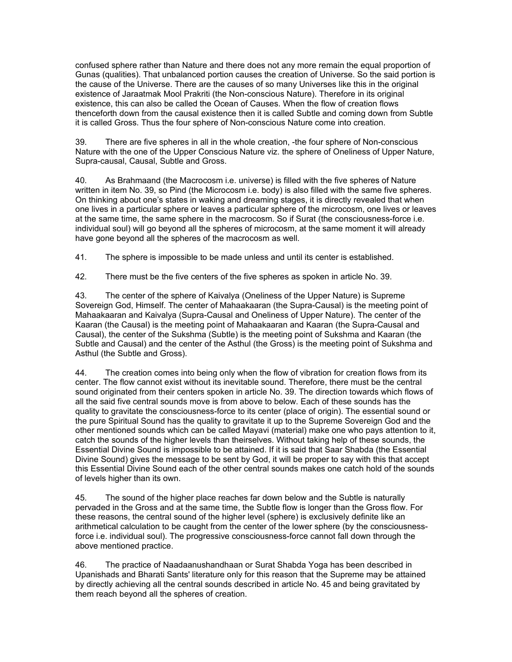confused sphere rather than Nature and there does not any more remain the equal proportion of Gunas (qualities). That unbalanced portion causes the creation of Universe. So the said portion is the cause of the Universe. There are the causes of so many Universes like this in the original existence of Jaraatmak Mool Prakriti (the Non-conscious Nature). Therefore in its original existence, this can also be called the Ocean of Causes. When the flow of creation flows thenceforth down from the causal existence then it is called Subtle and coming down from Subtle it is called Gross. Thus the four sphere of Non-conscious Nature come into creation.

39. There are five spheres in all in the whole creation, -the four sphere of Non-conscious Nature with the one of the Upper Conscious Nature viz. the sphere of Oneliness of Upper Nature, Supra-causal, Causal, Subtle and Gross.

40. As Brahmaand (the Macrocosm i.e. universe) is filled with the five spheres of Nature written in item No. 39, so Pind (the Microcosm i.e. body) is also filled with the same five spheres. On thinking about one's states in waking and dreaming stages, it is directly revealed that when one lives in a particular sphere or leaves a particular sphere of the microcosm, one lives or leaves at the same time, the same sphere in the macrocosm. So if Surat (the consciousness-force i.e. individual soul) will go beyond all the spheres of microcosm, at the same moment it will already have gone beyond all the spheres of the macrocosm as well.

41. The sphere is impossible to be made unless and until its center is established.

42. There must be the five centers of the five spheres as spoken in article No. 39.

43. The center of the sphere of Kaivalya (Oneliness of the Upper Nature) is Supreme Sovereign God, Himself. The center of Mahaakaaran (the Supra-Causal) is the meeting point of Mahaakaaran and Kaivalya (Supra-Causal and Oneliness of Upper Nature). The center of the Kaaran (the Causal) is the meeting point of Mahaakaaran and Kaaran (the Supra-Causal and Causal), the center of the Sukshma (Subtle) is the meeting point of Sukshma and Kaaran (the Subtle and Causal) and the center of the Asthul (the Gross) is the meeting point of Sukshma and Asthul (the Subtle and Gross).

44. The creation comes into being only when the flow of vibration for creation flows from its center. The flow cannot exist without its inevitable sound. Therefore, there must be the central sound originated from their centers spoken in article No. 39. The direction towards which flows of all the said five central sounds move is from above to below. Each of these sounds has the quality to gravitate the consciousness-force to its center (place of origin). The essential sound or the pure Spiritual Sound has the quality to gravitate it up to the Supreme Sovereign God and the other mentioned sounds which can be called Mayavi (material) make one who pays attention to it, catch the sounds of the higher levels than theirselves. Without taking help of these sounds, the Essential Divine Sound is impossible to be attained. If it is said that Saar Shabda (the Essential Divine Sound) gives the message to be sent by God, it will be proper to say with this that accept this Essential Divine Sound each of the other central sounds makes one catch hold of the sounds of levels higher than its own.

45. The sound of the higher place reaches far down below and the Subtle is naturally pervaded in the Gross and at the same time, the Subtle flow is longer than the Gross flow. For these reasons, the central sound of the higher level (sphere) is exclusively definite like an arithmetical calculation to be caught from the center of the lower sphere (by the consciousnessforce i.e. individual soul). The progressive consciousness-force cannot fall down through the above mentioned practice.

46. The practice of Naadaanushandhaan or Surat Shabda Yoga has been described in Upanishads and Bharati Sants' literature only for this reason that the Supreme may be attained by directly achieving all the central sounds described in article No. 45 and being gravitated by them reach beyond all the spheres of creation.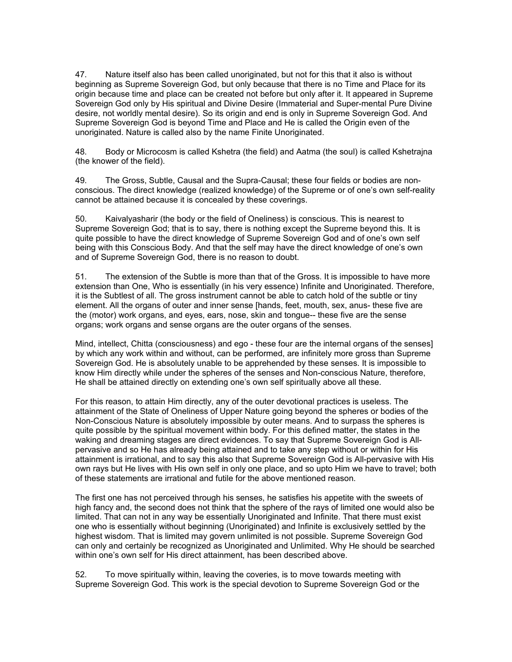47. Nature itself also has been called unoriginated, but not for this that it also is without beginning as Supreme Sovereign God, but only because that there is no Time and Place for its origin because time and place can be created not before but only after it. It appeared in Supreme Sovereign God only by His spiritual and Divine Desire (Immaterial and Super-mental Pure Divine desire, not worldly mental desire). So its origin and end is only in Supreme Sovereign God. And Supreme Sovereign God is beyond Time and Place and He is called the Origin even of the unoriginated. Nature is called also by the name Finite Unoriginated.

48. Body or Microcosm is called Kshetra (the field) and Aatma (the soul) is called Kshetrajna (the knower of the field).

49. The Gross, Subtle, Causal and the Supra-Causal; these four fields or bodies are nonconscious. The direct knowledge (realized knowledge) of the Supreme or of one's own self-reality cannot be attained because it is concealed by these coverings.

50. Kaivalyasharir (the body or the field of Oneliness) is conscious. This is nearest to Supreme Sovereign God; that is to say, there is nothing except the Supreme beyond this. It is quite possible to have the direct knowledge of Supreme Sovereign God and of one's own self being with this Conscious Body. And that the self may have the direct knowledge of one's own and of Supreme Sovereign God, there is no reason to doubt.

51. The extension of the Subtle is more than that of the Gross. It is impossible to have more extension than One, Who is essentially (in his very essence) Infinite and Unoriginated. Therefore, it is the Subtlest of all. The gross instrument cannot be able to catch hold of the subtle or tiny element. All the organs of outer and inner sense [hands, feet, mouth, sex, anus- these five are the (motor) work organs, and eyes, ears, nose, skin and tongue-- these five are the sense organs; work organs and sense organs are the outer organs of the senses.

Mind, intellect, Chitta (consciousness) and ego - these four are the internal organs of the senses] by which any work within and without, can be performed, are infinitely more gross than Supreme Sovereign God. He is absolutely unable to be apprehended by these senses. It is impossible to know Him directly while under the spheres of the senses and Non-conscious Nature, therefore, He shall be attained directly on extending one's own self spiritually above all these.

For this reason, to attain Him directly, any of the outer devotional practices is useless. The attainment of the State of Oneliness of Upper Nature going beyond the spheres or bodies of the Non-Conscious Nature is absolutely impossible by outer means. And to surpass the spheres is quite possible by the spiritual movement within body. For this defined matter, the states in the waking and dreaming stages are direct evidences. To say that Supreme Sovereign God is Allpervasive and so He has already being attained and to take any step without or within for His attainment is irrational, and to say this also that Supreme Sovereign God is All-pervasive with His own rays but He lives with His own self in only one place, and so upto Him we have to travel; both of these statements are irrational and futile for the above mentioned reason.

The first one has not perceived through his senses, he satisfies his appetite with the sweets of high fancy and, the second does not think that the sphere of the rays of limited one would also be limited. That can not in any way be essentially Unoriginated and Infinite. That there must exist one who is essentially without beginning (Unoriginated) and Infinite is exclusively settled by the highest wisdom. That is limited may govern unlimited is not possible. Supreme Sovereign God can only and certainly be recognized as Unoriginated and Unlimited. Why He should be searched within one's own self for His direct attainment, has been described above.

52. To move spiritually within, leaving the coveries, is to move towards meeting with Supreme Sovereign God. This work is the special devotion to Supreme Sovereign God or the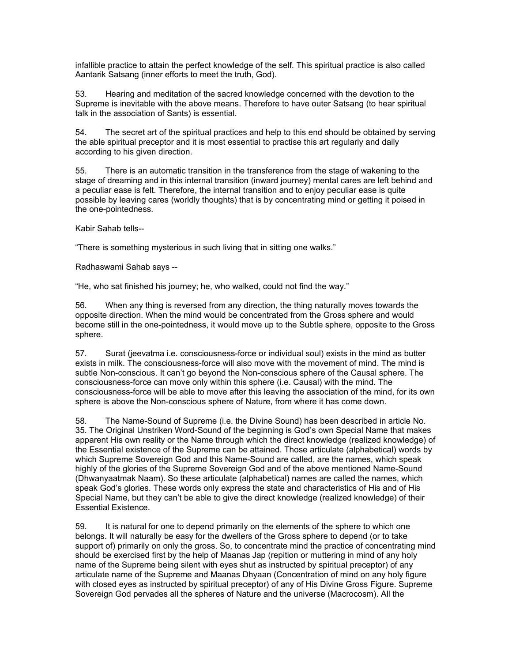infallible practice to attain the perfect knowledge of the self. This spiritual practice is also called Aantarik Satsang (inner efforts to meet the truth, God).

53. Hearing and meditation of the sacred knowledge concerned with the devotion to the Supreme is inevitable with the above means. Therefore to have outer Satsang (to hear spiritual talk in the association of Sants) is essential.

54. The secret art of the spiritual practices and help to this end should be obtained by serving the able spiritual preceptor and it is most essential to practise this art regularly and daily according to his given direction.

55. There is an automatic transition in the transference from the stage of wakening to the stage of dreaming and in this internal transition (inward journey) mental cares are left behind and a peculiar ease is felt. Therefore, the internal transition and to enjoy peculiar ease is quite possible by leaving cares (worldly thoughts) that is by concentrating mind or getting it poised in the one-pointedness.

Kabir Sahab tells--

"There is something mysterious in such living that in sitting one walks."

Radhaswami Sahab says --

"He, who sat finished his journey; he, who walked, could not find the way."

56. When any thing is reversed from any direction, the thing naturally moves towards the opposite direction. When the mind would be concentrated from the Gross sphere and would become still in the one-pointedness, it would move up to the Subtle sphere, opposite to the Gross sphere.

57. Surat (jeevatma i.e. consciousness-force or individual soul) exists in the mind as butter exists in milk. The consciousness-force will also move with the movement of mind. The mind is subtle Non-conscious. It can't go beyond the Non-conscious sphere of the Causal sphere. The consciousness-force can move only within this sphere (i.e. Causal) with the mind. The consciousness-force will be able to move after this leaving the association of the mind, for its own sphere is above the Non-conscious sphere of Nature, from where it has come down.

58. The Name-Sound of Supreme (i.e. the Divine Sound) has been described in article No. 35. The Original Unstriken Word-Sound of the beginning is God's own Special Name that makes apparent His own reality or the Name through which the direct knowledge (realized knowledge) of the Essential existence of the Supreme can be attained. Those articulate (alphabetical) words by which Supreme Sovereign God and this Name-Sound are called, are the names, which speak highly of the glories of the Supreme Sovereign God and of the above mentioned Name-Sound (Dhwanyaatmak Naam). So these articulate (alphabetical) names are called the names, which speak God's glories. These words only express the state and characteristics of His and of His Special Name, but they can't be able to give the direct knowledge (realized knowledge) of their Essential Existence.

59. It is natural for one to depend primarily on the elements of the sphere to which one belongs. It will naturally be easy for the dwellers of the Gross sphere to depend (or to take support of) primarily on only the gross. So, to concentrate mind the practice of concentrating mind should be exercised first by the help of Maanas Jap (repition or muttering in mind of any holy name of the Supreme being silent with eyes shut as instructed by spiritual preceptor) of any articulate name of the Supreme and Maanas Dhyaan (Concentration of mind on any holy figure with closed eyes as instructed by spiritual preceptor) of any of His Divine Gross Figure. Supreme Sovereign God pervades all the spheres of Nature and the universe (Macrocosm). All the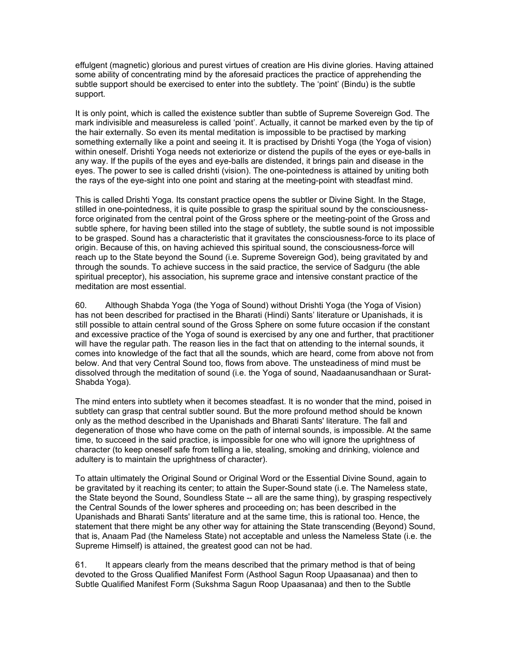effulgent (magnetic) glorious and purest virtues of creation are His divine glories. Having attained some ability of concentrating mind by the aforesaid practices the practice of apprehending the subtle support should be exercised to enter into the subtlety. The 'point' (Bindu) is the subtle support.

It is only point, which is called the existence subtler than subtle of Supreme Sovereign God. The mark indivisible and measureless is called 'point'. Actually, it cannot be marked even by the tip of the hair externally. So even its mental meditation is impossible to be practised by marking something externally like a point and seeing it. It is practised by Drishti Yoga (the Yoga of vision) within oneself. Drishti Yoga needs not exteriorize or distend the pupils of the eyes or eye-balls in any way. If the pupils of the eyes and eye-balls are distended, it brings pain and disease in the eyes. The power to see is called drishti (vision). The one-pointedness is attained by uniting both the rays of the eye-sight into one point and staring at the meeting-point with steadfast mind.

This is called Drishti Yoga. Its constant practice opens the subtler or Divine Sight. In the Stage, stilled in one-pointedness, it is quite possible to grasp the spiritual sound by the consciousnessforce originated from the central point of the Gross sphere or the meeting-point of the Gross and subtle sphere, for having been stilled into the stage of subtlety, the subtle sound is not impossible to be grasped. Sound has a characteristic that it gravitates the consciousness-force to its place of origin. Because of this, on having achieved this spiritual sound, the consciousness-force will reach up to the State beyond the Sound (i.e. Supreme Sovereign God), being gravitated by and through the sounds. To achieve success in the said practice, the service of Sadguru (the able spiritual preceptor), his association, his supreme grace and intensive constant practice of the meditation are most essential.

60. Although Shabda Yoga (the Yoga of Sound) without Drishti Yoga (the Yoga of Vision) has not been described for practised in the Bharati (Hindi) Sants' literature or Upanishads, it is still possible to attain central sound of the Gross Sphere on some future occasion if the constant and excessive practice of the Yoga of sound is exercised by any one and further, that practitioner will have the regular path. The reason lies in the fact that on attending to the internal sounds, it comes into knowledge of the fact that all the sounds, which are heard, come from above not from below. And that very Central Sound too, flows from above. The unsteadiness of mind must be dissolved through the meditation of sound (i.e. the Yoga of sound, Naadaanusandhaan or Surat-Shabda Yoga).

The mind enters into subtlety when it becomes steadfast. It is no wonder that the mind, poised in subtlety can grasp that central subtler sound. But the more profound method should be known only as the method described in the Upanishads and Bharati Sants' literature. The fall and degeneration of those who have come on the path of internal sounds, is impossible. At the same time, to succeed in the said practice, is impossible for one who will ignore the uprightness of character (to keep oneself safe from telling a lie, stealing, smoking and drinking, violence and adultery is to maintain the uprightness of character).

To attain ultimately the Original Sound or Original Word or the Essential Divine Sound, again to be gravitated by it reaching its center; to attain the Super-Sound state (i.e. The Nameless state, the State beyond the Sound, Soundless State -- all are the same thing), by grasping respectively the Central Sounds of the lower spheres and proceeding on; has been described in the Upanishads and Bharati Sants' literature and at the same time, this is rational too. Hence, the statement that there might be any other way for attaining the State transcending (Beyond) Sound, that is, Anaam Pad (the Nameless State) not acceptable and unless the Nameless State (i.e. the Supreme Himself) is attained, the greatest good can not be had.

61. It appears clearly from the means described that the primary method is that of being devoted to the Gross Qualified Manifest Form (Asthool Sagun Roop Upaasanaa) and then to Subtle Qualified Manifest Form (Sukshma Sagun Roop Upaasanaa) and then to the Subtle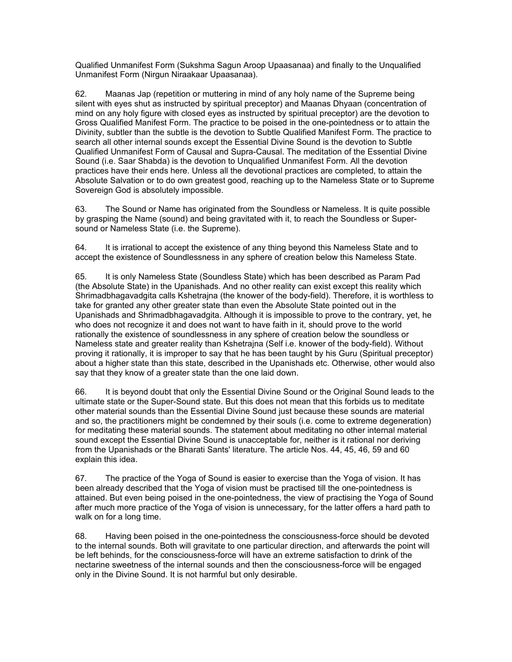Qualified Unmanifest Form (Sukshma Sagun Aroop Upaasanaa) and finally to the Unqualified Unmanifest Form (Nirgun Niraakaar Upaasanaa).

62. Maanas Jap (repetition or muttering in mind of any holy name of the Supreme being silent with eyes shut as instructed by spiritual preceptor) and Maanas Dhyaan (concentration of mind on any holy figure with closed eyes as instructed by spiritual preceptor) are the devotion to Gross Qualified Manifest Form. The practice to be poised in the one-pointedness or to attain the Divinity, subtler than the subtle is the devotion to Subtle Qualified Manifest Form. The practice to search all other internal sounds except the Essential Divine Sound is the devotion to Subtle Qualified Unmanifest Form of Causal and Supra-Causal. The meditation of the Essential Divine Sound (i.e. Saar Shabda) is the devotion to Unqualified Unmanifest Form. All the devotion practices have their ends here. Unless all the devotional practices are completed, to attain the Absolute Salvation or to do own greatest good, reaching up to the Nameless State or to Supreme Sovereign God is absolutely impossible.

63. The Sound or Name has originated from the Soundless or Nameless. It is quite possible by grasping the Name (sound) and being gravitated with it, to reach the Soundless or Supersound or Nameless State (i.e. the Supreme).

64. It is irrational to accept the existence of any thing beyond this Nameless State and to accept the existence of Soundlessness in any sphere of creation below this Nameless State.

65. It is only Nameless State (Soundless State) which has been described as Param Pad (the Absolute State) in the Upanishads. And no other reality can exist except this reality which Shrimadbhagavadgita calls Kshetrajna (the knower of the body-field). Therefore, it is worthless to take for granted any other greater state than even the Absolute State pointed out in the Upanishads and Shrimadbhagavadgita. Although it is impossible to prove to the contrary, yet, he who does not recognize it and does not want to have faith in it, should prove to the world rationally the existence of soundlessness in any sphere of creation below the soundless or Nameless state and greater reality than Kshetrajna (Self i.e. knower of the body-field). Without proving it rationally, it is improper to say that he has been taught by his Guru (Spiritual preceptor) about a higher state than this state, described in the Upanishads etc. Otherwise, other would also say that they know of a greater state than the one laid down.

66. It is beyond doubt that only the Essential Divine Sound or the Original Sound leads to the ultimate state or the Super-Sound state. But this does not mean that this forbids us to meditate other material sounds than the Essential Divine Sound just because these sounds are material and so, the practitioners might be condemned by their souls (i.e. come to extreme degeneration) for meditating these material sounds. The statement about meditating no other internal material sound except the Essential Divine Sound is unacceptable for, neither is it rational nor deriving from the Upanishads or the Bharati Sants' literature. The article Nos. 44, 45, 46, 59 and 60 explain this idea.

67. The practice of the Yoga of Sound is easier to exercise than the Yoga of vision. It has been already described that the Yoga of vision must be practised till the one-pointedness is attained. But even being poised in the one-pointedness, the view of practising the Yoga of Sound after much more practice of the Yoga of vision is unnecessary, for the latter offers a hard path to walk on for a long time.

68. Having been poised in the one-pointedness the consciousness-force should be devoted to the internal sounds. Both will gravitate to one particular direction, and afterwards the point will be left behinds, for the consciousness-force will have an extreme satisfaction to drink of the nectarine sweetness of the internal sounds and then the consciousness-force will be engaged only in the Divine Sound. It is not harmful but only desirable.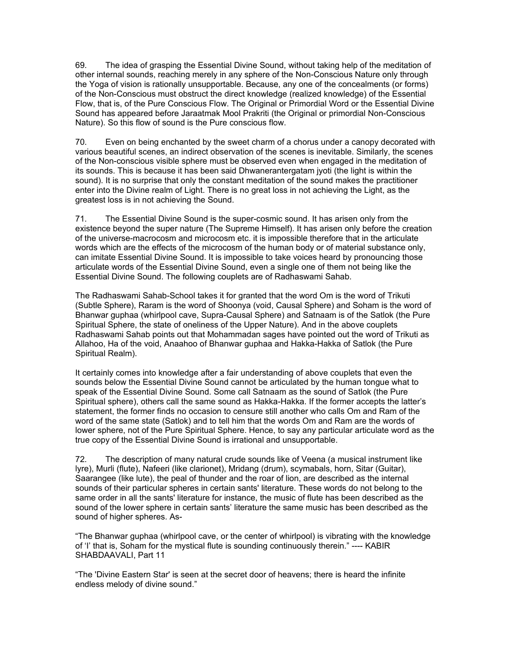69. The idea of grasping the Essential Divine Sound, without taking help of the meditation of other internal sounds, reaching merely in any sphere of the Non-Conscious Nature only through the Yoga of vision is rationally unsupportable. Because, any one of the concealments (or forms) of the Non-Conscious must obstruct the direct knowledge (realized knowledge) of the Essential Flow, that is, of the Pure Conscious Flow. The Original or Primordial Word or the Essential Divine Sound has appeared before Jaraatmak Mool Prakriti (the Original or primordial Non-Conscious Nature). So this flow of sound is the Pure conscious flow.

70. Even on being enchanted by the sweet charm of a chorus under a canopy decorated with various beautiful scenes, an indirect observation of the scenes is inevitable. Similarly, the scenes of the Non-conscious visible sphere must be observed even when engaged in the meditation of its sounds. This is because it has been said Dhwanerantergatam jyoti (the light is within the sound). It is no surprise that only the constant meditation of the sound makes the practitioner enter into the Divine realm of Light. There is no great loss in not achieving the Light, as the greatest loss is in not achieving the Sound.

71. The Essential Divine Sound is the super-cosmic sound. It has arisen only from the existence beyond the super nature (The Supreme Himself). It has arisen only before the creation of the universe-macrocosm and microcosm etc. it is impossible therefore that in the articulate words which are the effects of the microcosm of the human body or of material substance only, can imitate Essential Divine Sound. It is impossible to take voices heard by pronouncing those articulate words of the Essential Divine Sound, even a single one of them not being like the Essential Divine Sound. The following couplets are of Radhaswami Sahab.

The Radhaswami Sahab-School takes it for granted that the word Om is the word of Trikuti (Subtle Sphere), Raram is the word of Shoonya (void, Causal Sphere) and Soham is the word of Bhanwar guphaa (whirlpool cave, Supra-Causal Sphere) and Satnaam is of the Satlok (the Pure Spiritual Sphere, the state of oneliness of the Upper Nature). And in the above couplets Radhaswami Sahab points out that Mohammadan sages have pointed out the word of Trikuti as Allahoo, Ha of the void, Anaahoo of Bhanwar guphaa and Hakka-Hakka of Satlok (the Pure Spiritual Realm).

It certainly comes into knowledge after a fair understanding of above couplets that even the sounds below the Essential Divine Sound cannot be articulated by the human tongue what to speak of the Essential Divine Sound. Some call Satnaam as the sound of Satlok (the Pure Spiritual sphere), others call the same sound as Hakka-Hakka. If the former accepts the latter's statement, the former finds no occasion to censure still another who calls Om and Ram of the word of the same state (Satlok) and to tell him that the words Om and Ram are the words of lower sphere, not of the Pure Spiritual Sphere. Hence, to say any particular articulate word as the true copy of the Essential Divine Sound is irrational and unsupportable.

72. The description of many natural crude sounds like of Veena (a musical instrument like lyre), Murli (flute), Nafeeri (like clarionet), Mridang (drum), scymabals, horn, Sitar (Guitar), Saarangee (like lute), the peal of thunder and the roar of lion, are described as the internal sounds of their particular spheres in certain sants' literature. These words do not belong to the same order in all the sants' literature for instance, the music of flute has been described as the sound of the lower sphere in certain sants' literature the same music has been described as the sound of higher spheres. As-

"The Bhanwar guphaa (whirlpool cave, or the center of whirlpool) is vibrating with the knowledge of 'I' that is, Soham for the mystical flute is sounding continuously therein." ---- KABIR SHABDAAVALI, Part 11

"The 'Divine Eastern Star' is seen at the secret door of heavens; there is heard the infinite endless melody of divine sound."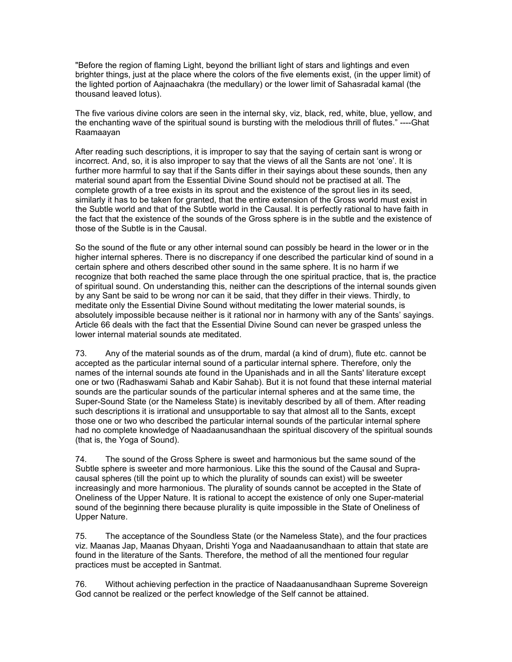"Before the region of flaming Light, beyond the brilliant light of stars and lightings and even brighter things, just at the place where the colors of the five elements exist, (in the upper limit) of the lighted portion of Aajnaachakra (the medullary) or the lower limit of Sahasradal kamal (the thousand leaved lotus).

The five various divine colors are seen in the internal sky, viz, black, red, white, blue, yellow, and the enchanting wave of the spiritual sound is bursting with the melodious thrill of flutes." ----Ghat Raamaayan

After reading such descriptions, it is improper to say that the saying of certain sant is wrong or incorrect. And, so, it is also improper to say that the views of all the Sants are not 'one'. It is further more harmful to say that if the Sants differ in their sayings about these sounds, then any material sound apart from the Essential Divine Sound should not be practised at all. The complete growth of a tree exists in its sprout and the existence of the sprout lies in its seed, similarly it has to be taken for granted, that the entire extension of the Gross world must exist in the Subtle world and that of the Subtle world in the Causal. It is perfectly rational to have faith in the fact that the existence of the sounds of the Gross sphere is in the subtle and the existence of those of the Subtle is in the Causal.

So the sound of the flute or any other internal sound can possibly be heard in the lower or in the higher internal spheres. There is no discrepancy if one described the particular kind of sound in a certain sphere and others described other sound in the same sphere. It is no harm if we recognize that both reached the same place through the one spiritual practice, that is, the practice of spiritual sound. On understanding this, neither can the descriptions of the internal sounds given by any Sant be said to be wrong nor can it be said, that they differ in their views. Thirdly, to meditate only the Essential Divine Sound without meditating the lower material sounds, is absolutely impossible because neither is it rational nor in harmony with any of the Sants' sayings. Article 66 deals with the fact that the Essential Divine Sound can never be grasped unless the lower internal material sounds ate meditated.

73. Any of the material sounds as of the drum, mardal (a kind of drum), flute etc. cannot be accepted as the particular internal sound of a particular internal sphere. Therefore, only the names of the internal sounds ate found in the Upanishads and in all the Sants' literature except one or two (Radhaswami Sahab and Kabir Sahab). But it is not found that these internal material sounds are the particular sounds of the particular internal spheres and at the same time, the Super-Sound State (or the Nameless State) is inevitably described by all of them. After reading such descriptions it is irrational and unsupportable to say that almost all to the Sants, except those one or two who described the particular internal sounds of the particular internal sphere had no complete knowledge of Naadaanusandhaan the spiritual discovery of the spiritual sounds (that is, the Yoga of Sound).

74. The sound of the Gross Sphere is sweet and harmonious but the same sound of the Subtle sphere is sweeter and more harmonious. Like this the sound of the Causal and Supracausal spheres (till the point up to which the plurality of sounds can exist) will be sweeter increasingly and more harmonious. The plurality of sounds cannot be accepted in the State of Oneliness of the Upper Nature. It is rational to accept the existence of only one Super-material sound of the beginning there because plurality is quite impossible in the State of Oneliness of Upper Nature.

75. The acceptance of the Soundless State (or the Nameless State), and the four practices viz. Maanas Jap, Maanas Dhyaan, Drishti Yoga and Naadaanusandhaan to attain that state are found in the literature of the Sants. Therefore, the method of all the mentioned four regular practices must be accepted in Santmat.

76. Without achieving perfection in the practice of Naadaanusandhaan Supreme Sovereign God cannot be realized or the perfect knowledge of the Self cannot be attained.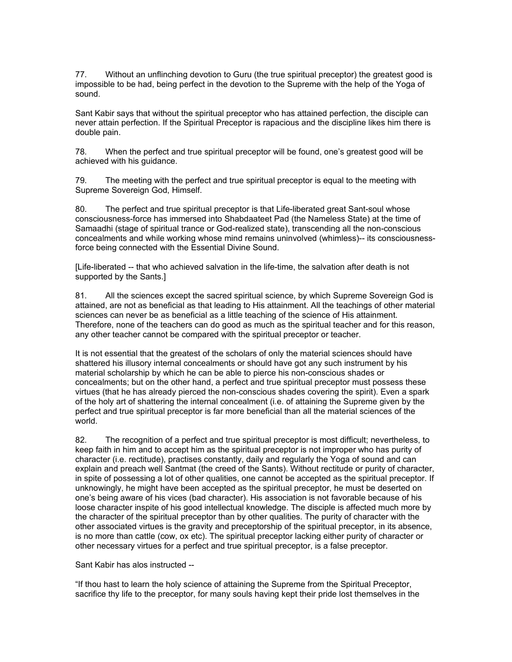77. Without an unflinching devotion to Guru (the true spiritual preceptor) the greatest good is impossible to be had, being perfect in the devotion to the Supreme with the help of the Yoga of sound.

Sant Kabir says that without the spiritual preceptor who has attained perfection, the disciple can never attain perfection. If the Spiritual Preceptor is rapacious and the discipline likes him there is double pain.

78. When the perfect and true spiritual preceptor will be found, one's greatest good will be achieved with his guidance.

79. The meeting with the perfect and true spiritual preceptor is equal to the meeting with Supreme Sovereign God, Himself.

80. The perfect and true spiritual preceptor is that Life-liberated great Sant-soul whose consciousness-force has immersed into Shabdaateet Pad (the Nameless State) at the time of Samaadhi (stage of spiritual trance or God-realized state), transcending all the non-conscious concealments and while working whose mind remains uninvolved (whimless)-- its consciousnessforce being connected with the Essential Divine Sound.

[Life-liberated -- that who achieved salvation in the life-time, the salvation after death is not supported by the Sants.]

81. All the sciences except the sacred spiritual science, by which Supreme Sovereign God is attained, are not as beneficial as that leading to His attainment. All the teachings of other material sciences can never be as beneficial as a little teaching of the science of His attainment. Therefore, none of the teachers can do good as much as the spiritual teacher and for this reason, any other teacher cannot be compared with the spiritual preceptor or teacher.

It is not essential that the greatest of the scholars of only the material sciences should have shattered his illusory internal concealments or should have got any such instrument by his material scholarship by which he can be able to pierce his non-conscious shades or concealments; but on the other hand, a perfect and true spiritual preceptor must possess these virtues (that he has already pierced the non-conscious shades covering the spirit). Even a spark of the holy art of shattering the internal concealment (i.e. of attaining the Supreme given by the perfect and true spiritual preceptor is far more beneficial than all the material sciences of the world.

82. The recognition of a perfect and true spiritual preceptor is most difficult; nevertheless, to keep faith in him and to accept him as the spiritual preceptor is not improper who has purity of character (i.e. rectitude), practises constantly, daily and regularly the Yoga of sound and can explain and preach well Santmat (the creed of the Sants). Without rectitude or purity of character, in spite of possessing a lot of other qualities, one cannot be accepted as the spiritual preceptor. If unknowingly, he might have been accepted as the spiritual preceptor, he must be deserted on one's being aware of his vices (bad character). His association is not favorable because of his loose character inspite of his good intellectual knowledge. The disciple is affected much more by the character of the spiritual preceptor than by other qualities. The purity of character with the other associated virtues is the gravity and preceptorship of the spiritual preceptor, in its absence, is no more than cattle (cow, ox etc). The spiritual preceptor lacking either purity of character or other necessary virtues for a perfect and true spiritual preceptor, is a false preceptor.

Sant Kabir has alos instructed --

"If thou hast to learn the holy science of attaining the Supreme from the Spiritual Preceptor, sacrifice thy life to the preceptor, for many souls having kept their pride lost themselves in the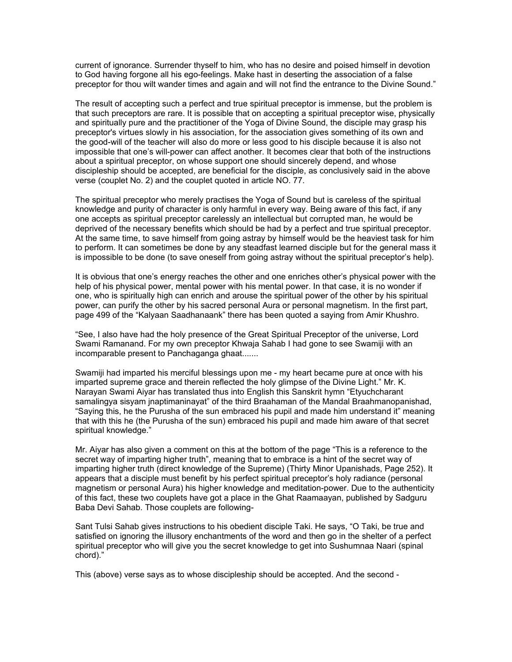current of ignorance. Surrender thyself to him, who has no desire and poised himself in devotion to God having forgone all his ego-feelings. Make hast in deserting the association of a false preceptor for thou wilt wander times and again and will not find the entrance to the Divine Sound."

The result of accepting such a perfect and true spiritual preceptor is immense, but the problem is that such preceptors are rare. It is possible that on accepting a spiritual preceptor wise, physically and spiritually pure and the practitioner of the Yoga of Divine Sound, the disciple may grasp his preceptor's virtues slowly in his association, for the association gives something of its own and the good-will of the teacher will also do more or less good to his disciple because it is also not impossible that one's will-power can affect another. It becomes clear that both of the instructions about a spiritual preceptor, on whose support one should sincerely depend, and whose discipleship should be accepted, are beneficial for the disciple, as conclusively said in the above verse (couplet No. 2) and the couplet quoted in article NO. 77.

The spiritual preceptor who merely practises the Yoga of Sound but is careless of the spiritual knowledge and purity of character is only harmful in every way. Being aware of this fact, if any one accepts as spiritual preceptor carelessly an intellectual but corrupted man, he would be deprived of the necessary benefits which should be had by a perfect and true spiritual preceptor. At the same time, to save himself from going astray by himself would be the heaviest task for him to perform. It can sometimes be done by any steadfast learned disciple but for the general mass it is impossible to be done (to save oneself from going astray without the spiritual preceptor's help).

It is obvious that one's energy reaches the other and one enriches other's physical power with the help of his physical power, mental power with his mental power. In that case, it is no wonder if one, who is spiritually high can enrich and arouse the spiritual power of the other by his spiritual power, can purify the other by his sacred personal Aura or personal magnetism. In the first part, page 499 of the "Kalyaan Saadhanaank" there has been quoted a saying from Amir Khushro.

"See, I also have had the holy presence of the Great Spiritual Preceptor of the universe, Lord Swami Ramanand. For my own preceptor Khwaja Sahab I had gone to see Swamiji with an incomparable present to Panchaganga ghaat.......

Swamiji had imparted his merciful blessings upon me - my heart became pure at once with his imparted supreme grace and therein reflected the holy glimpse of the Divine Light." Mr. K. Narayan Swami Aiyar has translated thus into English this Sanskrit hymn "Etyuchcharant samalingya sisyam jnaptimaninayat" of the third Braahaman of the Mandal Braahmanopanishad, "Saying this, he the Purusha of the sun embraced his pupil and made him understand it" meaning that with this he (the Purusha of the sun) embraced his pupil and made him aware of that secret spiritual knowledge."

Mr. Aiyar has also given a comment on this at the bottom of the page "This is a reference to the secret way of imparting higher truth", meaning that to embrace is a hint of the secret way of imparting higher truth (direct knowledge of the Supreme) (Thirty Minor Upanishads, Page 252). It appears that a disciple must benefit by his perfect spiritual preceptor's holy radiance (personal magnetism or personal Aura) his higher knowledge and meditation-power. Due to the authenticity of this fact, these two couplets have got a place in the Ghat Raamaayan, published by Sadguru Baba Devi Sahab. Those couplets are following-

Sant Tulsi Sahab gives instructions to his obedient disciple Taki. He says, "O Taki, be true and satisfied on ignoring the illusory enchantments of the word and then go in the shelter of a perfect spiritual preceptor who will give you the secret knowledge to get into Sushumnaa Naari (spinal chord)."

This (above) verse says as to whose discipleship should be accepted. And the second -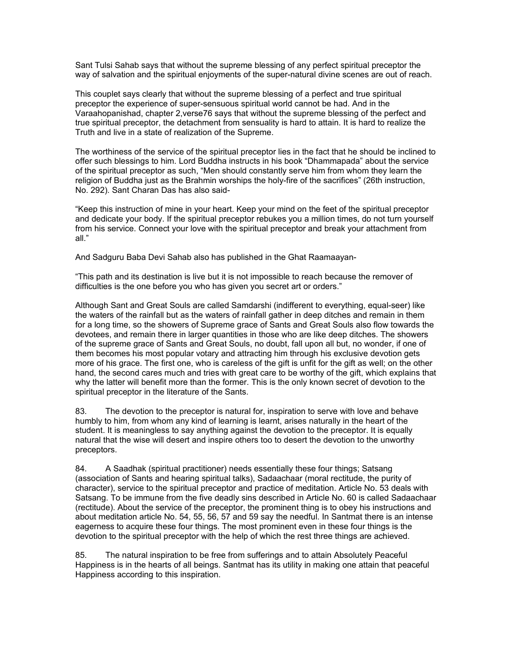Sant Tulsi Sahab says that without the supreme blessing of any perfect spiritual preceptor the way of salvation and the spiritual enjoyments of the super-natural divine scenes are out of reach.

This couplet says clearly that without the supreme blessing of a perfect and true spiritual preceptor the experience of super-sensuous spiritual world cannot be had. And in the Varaahopanishad, chapter 2,verse76 says that without the supreme blessing of the perfect and true spiritual preceptor, the detachment from sensuality is hard to attain. It is hard to realize the Truth and live in a state of realization of the Supreme.

The worthiness of the service of the spiritual preceptor lies in the fact that he should be inclined to offer such blessings to him. Lord Buddha instructs in his book "Dhammapada" about the service of the spiritual preceptor as such, "Men should constantly serve him from whom they learn the religion of Buddha just as the Brahmin worships the holy-fire of the sacrifices" (26th instruction, No. 292). Sant Charan Das has also said-

"Keep this instruction of mine in your heart. Keep your mind on the feet of the spiritual preceptor and dedicate your body. If the spiritual preceptor rebukes you a million times, do not turn yourself from his service. Connect your love with the spiritual preceptor and break your attachment from all."

And Sadguru Baba Devi Sahab also has published in the Ghat Raamaayan-

"This path and its destination is live but it is not impossible to reach because the remover of difficulties is the one before you who has given you secret art or orders."

Although Sant and Great Souls are called Samdarshi (indifferent to everything, equal-seer) like the waters of the rainfall but as the waters of rainfall gather in deep ditches and remain in them for a long time, so the showers of Supreme grace of Sants and Great Souls also flow towards the devotees, and remain there in larger quantities in those who are like deep ditches. The showers of the supreme grace of Sants and Great Souls, no doubt, fall upon all but, no wonder, if one of them becomes his most popular votary and attracting him through his exclusive devotion gets more of his grace. The first one, who is careless of the gift is unfit for the gift as well; on the other hand, the second cares much and tries with great care to be worthy of the gift, which explains that why the latter will benefit more than the former. This is the only known secret of devotion to the spiritual preceptor in the literature of the Sants.

83. The devotion to the preceptor is natural for, inspiration to serve with love and behave humbly to him, from whom any kind of learning is learnt, arises naturally in the heart of the student. It is meaningless to say anything against the devotion to the preceptor. It is equally natural that the wise will desert and inspire others too to desert the devotion to the unworthy preceptors.

84. A Saadhak (spiritual practitioner) needs essentially these four things; Satsang (association of Sants and hearing spiritual talks), Sadaachaar (moral rectitude, the purity of character), service to the spiritual preceptor and practice of meditation. Article No. 53 deals with Satsang. To be immune from the five deadly sins described in Article No. 60 is called Sadaachaar (rectitude). About the service of the preceptor, the prominent thing is to obey his instructions and about meditation article No. 54, 55, 56, 57 and 59 say the needful. In Santmat there is an intense eagerness to acquire these four things. The most prominent even in these four things is the devotion to the spiritual preceptor with the help of which the rest three things are achieved.

85. The natural inspiration to be free from sufferings and to attain Absolutely Peaceful Happiness is in the hearts of all beings. Santmat has its utility in making one attain that peaceful Happiness according to this inspiration.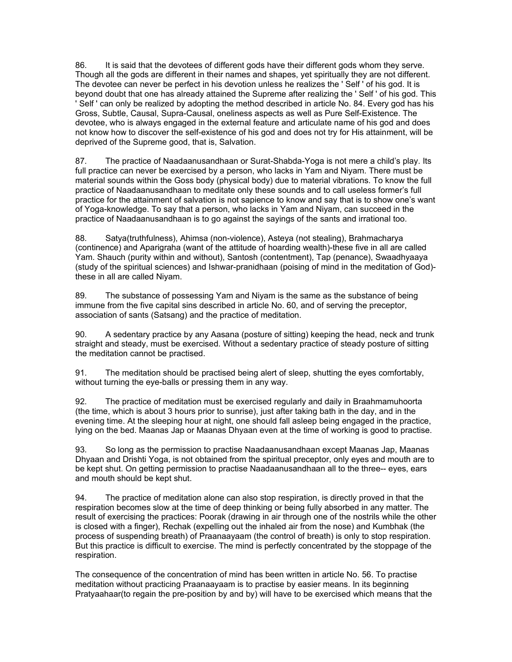86. It is said that the devotees of different gods have their different gods whom they serve. Though all the gods are different in their names and shapes, yet spiritually they are not different. The devotee can never be perfect in his devotion unless he realizes the ' Self ' of his god. It is beyond doubt that one has already attained the Supreme after realizing the ' Self ' of his god. This ' Self ' can only be realized by adopting the method described in article No. 84. Every god has his Gross, Subtle, Causal, Supra-Causal, oneliness aspects as well as Pure Self-Existence. The devotee, who is always engaged in the external feature and articulate name of his god and does not know how to discover the self-existence of his god and does not try for His attainment, will be deprived of the Supreme good, that is, Salvation.

87. The practice of Naadaanusandhaan or Surat-Shabda-Yoga is not mere a child's play. Its full practice can never be exercised by a person, who lacks in Yam and Niyam. There must be material sounds within the Goss body (physical body) due to material vibrations. To know the full practice of Naadaanusandhaan to meditate only these sounds and to call useless former's full practice for the attainment of salvation is not sapience to know and say that is to show one's want of Yoga-knowledge. To say that a person, who lacks in Yam and Niyam, can succeed in the practice of Naadaanusandhaan is to go against the sayings of the sants and irrational too.

88. Satya(truthfulness), Ahimsa (non-violence), Asteya (not stealing), Brahmacharya (continence) and Aparigraha (want of the attitude of hoarding wealth)-these five in all are called Yam. Shauch (purity within and without), Santosh (contentment), Tap (penance), Swaadhyaaya (study of the spiritual sciences) and Ishwar-pranidhaan (poising of mind in the meditation of God) these in all are called Niyam.

89. The substance of possessing Yam and Niyam is the same as the substance of being immune from the five capital sins described in article No. 60, and of serving the preceptor, association of sants (Satsang) and the practice of meditation.

90. A sedentary practice by any Aasana (posture of sitting) keeping the head, neck and trunk straight and steady, must be exercised. Without a sedentary practice of steady posture of sitting the meditation cannot be practised.

91. The meditation should be practised being alert of sleep, shutting the eyes comfortably, without turning the eye-balls or pressing them in any way.

92. The practice of meditation must be exercised regularly and daily in Braahmamuhoorta (the time, which is about 3 hours prior to sunrise), just after taking bath in the day, and in the evening time. At the sleeping hour at night, one should fall asleep being engaged in the practice, lying on the bed. Maanas Jap or Maanas Dhyaan even at the time of working is good to practise.

93. So long as the permission to practise Naadaanusandhaan except Maanas Jap, Maanas Dhyaan and Drishti Yoga, is not obtained from the spiritual preceptor, only eyes and mouth are to be kept shut. On getting permission to practise Naadaanusandhaan all to the three-- eyes, ears and mouth should be kept shut.

94. The practice of meditation alone can also stop respiration, is directly proved in that the respiration becomes slow at the time of deep thinking or being fully absorbed in any matter. The result of exercising the practices: Poorak (drawing in air through one of the nostrils while the other is closed with a finger), Rechak (expelling out the inhaled air from the nose) and Kumbhak (the process of suspending breath) of Praanaayaam (the control of breath) is only to stop respiration. But this practice is difficult to exercise. The mind is perfectly concentrated by the stoppage of the respiration.

The consequence of the concentration of mind has been written in article No. 56. To practise meditation without practicing Praanaayaam is to practise by easier means. In its beginning Pratyaahaar(to regain the pre-position by and by) will have to be exercised which means that the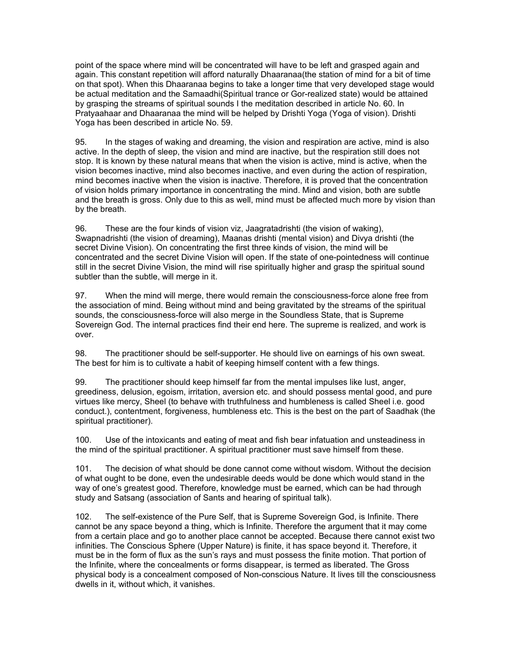point of the space where mind will be concentrated will have to be left and grasped again and again. This constant repetition will afford naturally Dhaaranaa(the station of mind for a bit of time on that spot). When this Dhaaranaa begins to take a longer time that very developed stage would be actual meditation and the Samaadhi(Spiritual trance or Gor-realized state) would be attained by grasping the streams of spiritual sounds I the meditation described in article No. 60. In Pratyaahaar and Dhaaranaa the mind will be helped by Drishti Yoga (Yoga of vision). Drishti Yoga has been described in article No. 59.

95. In the stages of waking and dreaming, the vision and respiration are active, mind is also active. In the depth of sleep, the vision and mind are inactive, but the respiration still does not stop. It is known by these natural means that when the vision is active, mind is active, when the vision becomes inactive, mind also becomes inactive, and even during the action of respiration, mind becomes inactive when the vision is inactive. Therefore, it is proved that the concentration of vision holds primary importance in concentrating the mind. Mind and vision, both are subtle and the breath is gross. Only due to this as well, mind must be affected much more by vision than by the breath.

96. These are the four kinds of vision viz, Jaagratadrishti (the vision of waking), Swapnadrishti (the vision of dreaming), Maanas drishti (mental vision) and Divya drishti (the secret Divine Vision). On concentrating the first three kinds of vision, the mind will be concentrated and the secret Divine Vision will open. If the state of one-pointedness will continue still in the secret Divine Vision, the mind will rise spiritually higher and grasp the spiritual sound subtler than the subtle, will merge in it.

97. When the mind will merge, there would remain the consciousness-force alone free from the association of mind. Being without mind and being gravitated by the streams of the spiritual sounds, the consciousness-force will also merge in the Soundless State, that is Supreme Sovereign God. The internal practices find their end here. The supreme is realized, and work is over.

98. The practitioner should be self-supporter. He should live on earnings of his own sweat. The best for him is to cultivate a habit of keeping himself content with a few things.

99. The practitioner should keep himself far from the mental impulses like lust, anger, greediness, delusion, egoism, irritation, aversion etc. and should possess mental good, and pure virtues like mercy, Sheel (to behave with truthfulness and humbleness is called Sheel i.e. good conduct.), contentment, forgiveness, humbleness etc. This is the best on the part of Saadhak (the spiritual practitioner).

100. Use of the intoxicants and eating of meat and fish bear infatuation and unsteadiness in the mind of the spiritual practitioner. A spiritual practitioner must save himself from these.

101. The decision of what should be done cannot come without wisdom. Without the decision of what ought to be done, even the undesirable deeds would be done which would stand in the way of one's greatest good. Therefore, knowledge must be earned, which can be had through study and Satsang (association of Sants and hearing of spiritual talk).

102. The self-existence of the Pure Self, that is Supreme Sovereign God, is Infinite. There cannot be any space beyond a thing, which is Infinite. Therefore the argument that it may come from a certain place and go to another place cannot be accepted. Because there cannot exist two infinities. The Conscious Sphere (Upper Nature) is finite, it has space beyond it. Therefore, it must be in the form of flux as the sun's rays and must possess the finite motion. That portion of the Infinite, where the concealments or forms disappear, is termed as liberated. The Gross physical body is a concealment composed of Non-conscious Nature. It lives till the consciousness dwells in it, without which, it vanishes.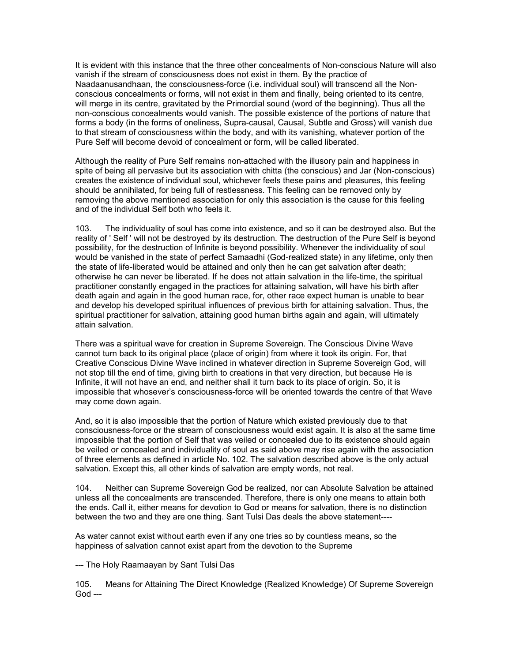It is evident with this instance that the three other concealments of Non-conscious Nature will also vanish if the stream of consciousness does not exist in them. By the practice of Naadaanusandhaan, the consciousness-force (i.e. individual soul) will transcend all the Nonconscious concealments or forms, will not exist in them and finally, being oriented to its centre, will merge in its centre, gravitated by the Primordial sound (word of the beginning). Thus all the non-conscious concealments would vanish. The possible existence of the portions of nature that forms a body (in the forms of oneliness, Supra-causal, Causal, Subtle and Gross) will vanish due to that stream of consciousness within the body, and with its vanishing, whatever portion of the Pure Self will become devoid of concealment or form, will be called liberated.

Although the reality of Pure Self remains non-attached with the illusory pain and happiness in spite of being all pervasive but its association with chitta (the conscious) and Jar (Non-conscious) creates the existence of individual soul, whichever feels these pains and pleasures, this feeling should be annihilated, for being full of restlessness. This feeling can be removed only by removing the above mentioned association for only this association is the cause for this feeling and of the individual Self both who feels it.

103. The individuality of soul has come into existence, and so it can be destroyed also. But the reality of ' Self ' will not be destroyed by its destruction. The destruction of the Pure Self is beyond possibility, for the destruction of Infinite is beyond possibility. Whenever the individuality of soul would be vanished in the state of perfect Samaadhi (God-realized state) in any lifetime, only then the state of life-liberated would be attained and only then he can get salvation after death; otherwise he can never be liberated. If he does not attain salvation in the life-time, the spiritual practitioner constantly engaged in the practices for attaining salvation, will have his birth after death again and again in the good human race, for, other race expect human is unable to bear and develop his developed spiritual influences of previous birth for attaining salvation. Thus, the spiritual practitioner for salvation, attaining good human births again and again, will ultimately attain salvation.

There was a spiritual wave for creation in Supreme Sovereign. The Conscious Divine Wave cannot turn back to its original place (place of origin) from where it took its origin. For, that Creative Conscious Divine Wave inclined in whatever direction in Supreme Sovereign God, will not stop till the end of time, giving birth to creations in that very direction, but because He is Infinite, it will not have an end, and neither shall it turn back to its place of origin. So, it is impossible that whosever's consciousness-force will be oriented towards the centre of that Wave may come down again.

And, so it is also impossible that the portion of Nature which existed previously due to that consciousness-force or the stream of consciousness would exist again. It is also at the same time impossible that the portion of Self that was veiled or concealed due to its existence should again be veiled or concealed and individuality of soul as said above may rise again with the association of three elements as defined in article No. 102. The salvation described above is the only actual salvation. Except this, all other kinds of salvation are empty words, not real.

104. Neither can Supreme Sovereign God be realized, nor can Absolute Salvation be attained unless all the concealments are transcended. Therefore, there is only one means to attain both the ends. Call it, either means for devotion to God or means for salvation, there is no distinction between the two and they are one thing. Sant Tulsi Das deals the above statement----

As water cannot exist without earth even if any one tries so by countless means, so the happiness of salvation cannot exist apart from the devotion to the Supreme

--- The Holy Raamaayan by Sant Tulsi Das

105. Means for Attaining The Direct Knowledge (Realized Knowledge) Of Supreme Sovereign God ---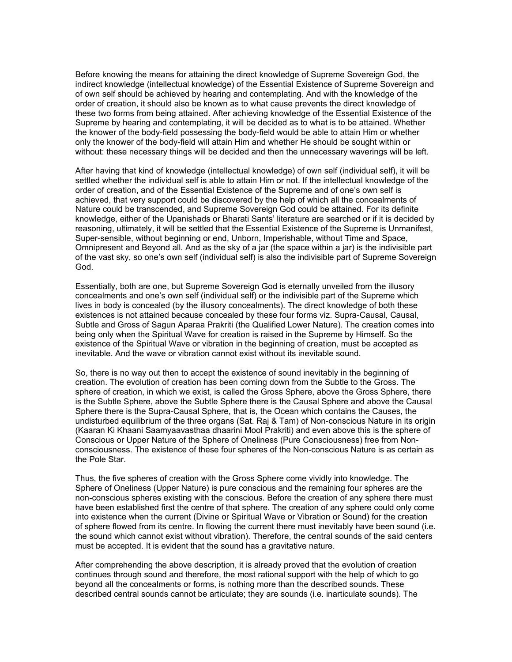Before knowing the means for attaining the direct knowledge of Supreme Sovereign God, the indirect knowledge (intellectual knowledge) of the Essential Existence of Supreme Sovereign and of own self should be achieved by hearing and contemplating. And with the knowledge of the order of creation, it should also be known as to what cause prevents the direct knowledge of these two forms from being attained. After achieving knowledge of the Essential Existence of the Supreme by hearing and contemplating, it will be decided as to what is to be attained. Whether the knower of the body-field possessing the body-field would be able to attain Him or whether only the knower of the body-field will attain Him and whether He should be sought within or without: these necessary things will be decided and then the unnecessary waverings will be left.

After having that kind of knowledge (intellectual knowledge) of own self (individual self), it will be settled whether the individual self is able to attain Him or not. If the intellectual knowledge of the order of creation, and of the Essential Existence of the Supreme and of one's own self is achieved, that very support could be discovered by the help of which all the concealments of Nature could be transcended, and Supreme Sovereign God could be attained. For its definite knowledge, either of the Upanishads or Bharati Sants' literature are searched or if it is decided by reasoning, ultimately, it will be settled that the Essential Existence of the Supreme is Unmanifest, Super-sensible, without beginning or end, Unborn, Imperishable, without Time and Space, Omnipresent and Beyond all. And as the sky of a jar (the space within a jar) is the indivisible part of the vast sky, so one's own self (individual self) is also the indivisible part of Supreme Sovereign God.

Essentially, both are one, but Supreme Sovereign God is eternally unveiled from the illusory concealments and one's own self (individual self) or the indivisible part of the Supreme which lives in body is concealed (by the illusory concealments). The direct knowledge of both these existences is not attained because concealed by these four forms viz. Supra-Causal, Causal, Subtle and Gross of Sagun Aparaa Prakriti (the Qualified Lower Nature). The creation comes into being only when the Spiritual Wave for creation is raised in the Supreme by Himself. So the existence of the Spiritual Wave or vibration in the beginning of creation, must be accepted as inevitable. And the wave or vibration cannot exist without its inevitable sound.

So, there is no way out then to accept the existence of sound inevitably in the beginning of creation. The evolution of creation has been coming down from the Subtle to the Gross. The sphere of creation, in which we exist, is called the Gross Sphere, above the Gross Sphere, there is the Subtle Sphere, above the Subtle Sphere there is the Causal Sphere and above the Causal Sphere there is the Supra-Causal Sphere, that is, the Ocean which contains the Causes, the undisturbed equilibrium of the three organs (Sat. Raj & Tam) of Non-conscious Nature in its origin (Kaaran Ki Khaani Saamyaavasthaa dhaarini Mool Prakriti) and even above this is the sphere of Conscious or Upper Nature of the Sphere of Oneliness (Pure Consciousness) free from Nonconsciousness. The existence of these four spheres of the Non-conscious Nature is as certain as the Pole Star.

Thus, the five spheres of creation with the Gross Sphere come vividly into knowledge. The Sphere of Oneliness (Upper Nature) is pure conscious and the remaining four spheres are the non-conscious spheres existing with the conscious. Before the creation of any sphere there must have been established first the centre of that sphere. The creation of any sphere could only come into existence when the current (Divine or Spiritual Wave or Vibration or Sound) for the creation of sphere flowed from its centre. In flowing the current there must inevitably have been sound (i.e. the sound which cannot exist without vibration). Therefore, the central sounds of the said centers must be accepted. It is evident that the sound has a gravitative nature.

After comprehending the above description, it is already proved that the evolution of creation continues through sound and therefore, the most rational support with the help of which to go beyond all the concealments or forms, is nothing more than the described sounds. These described central sounds cannot be articulate; they are sounds (i.e. inarticulate sounds). The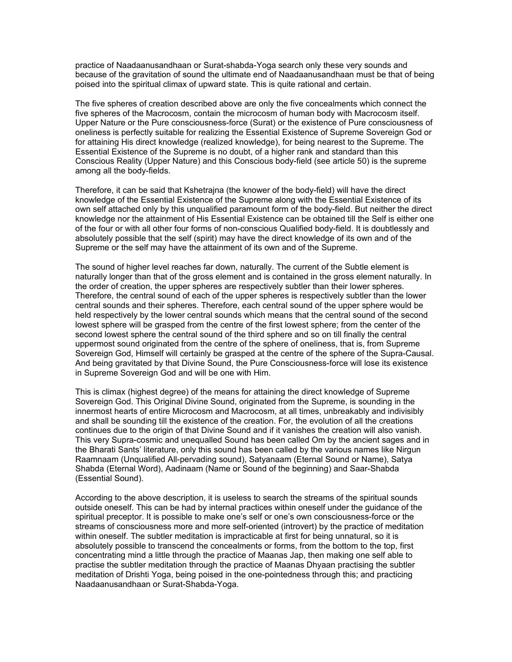practice of Naadaanusandhaan or Surat-shabda-Yoga search only these very sounds and because of the gravitation of sound the ultimate end of Naadaanusandhaan must be that of being poised into the spiritual climax of upward state. This is quite rational and certain.

The five spheres of creation described above are only the five concealments which connect the five spheres of the Macrocosm, contain the microcosm of human body with Macrocosm itself. Upper Nature or the Pure consciousness-force (Surat) or the existence of Pure consciousness of oneliness is perfectly suitable for realizing the Essential Existence of Supreme Sovereign God or for attaining His direct knowledge (realized knowledge), for being nearest to the Supreme. The Essential Existence of the Supreme is no doubt, of a higher rank and standard than this Conscious Reality (Upper Nature) and this Conscious body-field (see article 50) is the supreme among all the body-fields.

Therefore, it can be said that Kshetrajna (the knower of the body-field) will have the direct knowledge of the Essential Existence of the Supreme along with the Essential Existence of its own self attached only by this unqualified paramount form of the body-field. But neither the direct knowledge nor the attainment of His Essential Existence can be obtained till the Self is either one of the four or with all other four forms of non-conscious Qualified body-field. It is doubtlessly and absolutely possible that the self (spirit) may have the direct knowledge of its own and of the Supreme or the self may have the attainment of its own and of the Supreme.

The sound of higher level reaches far down, naturally. The current of the Subtle element is naturally longer than that of the gross element and is contained in the gross element naturally. In the order of creation, the upper spheres are respectively subtler than their lower spheres. Therefore, the central sound of each of the upper spheres is respectively subtler than the lower central sounds and their spheres. Therefore, each central sound of the upper sphere would be held respectively by the lower central sounds which means that the central sound of the second lowest sphere will be grasped from the centre of the first lowest sphere; from the center of the second lowest sphere the central sound of the third sphere and so on till finally the central uppermost sound originated from the centre of the sphere of oneliness, that is, from Supreme Sovereign God, Himself will certainly be grasped at the centre of the sphere of the Supra-Causal. And being gravitated by that Divine Sound, the Pure Consciousness-force will lose its existence in Supreme Sovereign God and will be one with Him.

This is climax (highest degree) of the means for attaining the direct knowledge of Supreme Sovereign God. This Original Divine Sound, originated from the Supreme, is sounding in the innermost hearts of entire Microcosm and Macrocosm, at all times, unbreakably and indivisibly and shall be sounding till the existence of the creation. For, the evolution of all the creations continues due to the origin of that Divine Sound and if it vanishes the creation will also vanish. This very Supra-cosmic and unequalled Sound has been called Om by the ancient sages and in the Bharati Sants' literature, only this sound has been called by the various names like Nirgun Raamnaam (Unqualified All-pervading sound), Satyanaam (Eternal Sound or Name), Satya Shabda (Eternal Word), Aadinaam (Name or Sound of the beginning) and Saar-Shabda (Essential Sound).

According to the above description, it is useless to search the streams of the spiritual sounds outside oneself. This can be had by internal practices within oneself under the guidance of the spiritual preceptor. It is possible to make one's self or one's own consciousness-force or the streams of consciousness more and more self-oriented (introvert) by the practice of meditation within oneself. The subtler meditation is impracticable at first for being unnatural, so it is absolutely possible to transcend the concealments or forms, from the bottom to the top, first concentrating mind a little through the practice of Maanas Jap, then making one self able to practise the subtler meditation through the practice of Maanas Dhyaan practising the subtler meditation of Drishti Yoga, being poised in the one-pointedness through this; and practicing Naadaanusandhaan or Surat-Shabda-Yoga.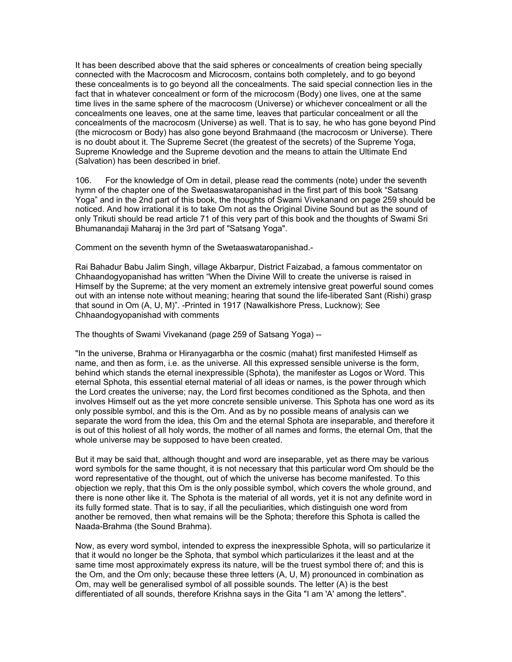It has been described above that the said spheres or concealments of creation being specially connected with the Macrocosm and Microcosm, contains both completely, and to go beyond these concealments is to go beyond all the concealments. The said special connection lies in the fact that in whatever concealment or form of the microcosm (Body) one lives, one at the same time lives in the same sphere of the macrocosm (Universe) or whichever concealment or all the concealments one leaves, one at the same time, leaves that particular concealment or all the concealments of the macrocosm (Universe) as well. That is to say, he who has gone beyond Pind (the microcosm or Body) has also gone beyond Brahmaand (the macrocosm or Universe). There is no doubt about it. The Supreme Secret (the greatest of the secrets) of the Supreme Yoga, Supreme Knowledge and the Supreme devotion and the means to attain the Ultimate End (Salvation) has been described in brief.

106. For the knowledge of Om in detail, please read the comments (note) under the seventh hymn of the chapter one of the Swetaaswataropanishad in the first part of this book "Satsang Yoga" and in the 2nd part of this book, the thoughts of Swami Vivekanand on page 259 should be noticed. And how irrational it is to take Om not as the Original Divine Sound but as the sound of only Trikuti should be read article 71 of this very part of this book and the thoughts of Swami Sri Bhumanandaji Maharaj in the 3rd part of "Satsang Yoga".

Comment on the seventh hymn of the Swetaaswataropanishad.-

Rai Bahadur Babu Jalim Singh, village Akbarpur, District Faizabad, a famous commentator on Chhaandogyopanishad has written "When the Divine Will to create the universe is raised in Himself by the Supreme; at the very moment an extremely intensive great powerful sound comes out with an intense note without meaning; hearing that sound the life-liberated Sant (Rishi) grasp that sound in Om (A, U, M)". -Printed in 1917 (Nawalkishore Press, Lucknow); See Chhaandogyopanishad with comments

The thoughts of Swami Vivekanand (page 259 of Satsang Yoga) --

"In the universe, Brahma or Hiranyagarbha or the cosmic (mahat) first manifested Himself as name, and then as form, i.e. as the universe. All this expressed sensible universe is the form, behind which stands the eternal inexpressible (Sphota), the manifester as Logos or Word. This eternal Sphota, this essential eternal material of all ideas or names, is the power through which the Lord creates the universe; nay, the Lord first becomes conditioned as the Sphota, and then involves Himself out as the yet more concrete sensible universe. This Sphota has one word as its only possible symbol, and this is the Om. And as by no possible means of analysis can we separate the word from the idea, this Om and the eternal Sphota are inseparable, and therefore it is out of this holiest of all holy words, the mother of all names and forms, the eternal Om, that the whole universe may be supposed to have been created.

But it may be said that, although thought and word are inseparable, yet as there may be various word symbols for the same thought, it is not necessary that this particular word Om should be the word representative of the thought, out of which the universe has become manifested. To this objection we reply, that this Om is the only possible symbol, which covers the whole ground, and there is none other like it. The Sphota is the material of all words, yet it is not any definite word in its fully formed state. That is to say, if all the peculiarities, which distinguish one word from another be removed, then what remains will be the Sphota; therefore this Sphota is called the Naada-Brahma (the Sound Brahma).

Now, as every word symbol, intended to express the inexpressible Sphota, will so particularize it that it would no longer be the Sphota, that symbol which particularizes it the least and at the same time most approximately express its nature, will be the truest symbol there of; and this is the Om, and the Om only; because these three letters (A, U, M) pronounced in combination as Om, may well be generalised symbol of all possible sounds. The letter (A) is the best differentiated of all sounds, therefore Krishna says in the Gita "I am 'A' among the letters".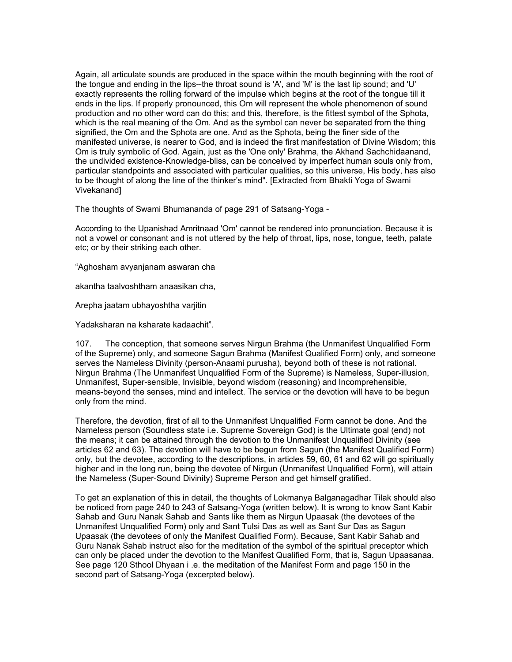Again, all articulate sounds are produced in the space within the mouth beginning with the root of the tongue and ending in the lips--the throat sound is 'A', and 'M' is the last lip sound; and 'U' exactly represents the rolling forward of the impulse which begins at the root of the tongue till it ends in the lips. If properly pronounced, this Om will represent the whole phenomenon of sound production and no other word can do this; and this, therefore, is the fittest symbol of the Sphota, which is the real meaning of the Om. And as the symbol can never be separated from the thing signified, the Om and the Sphota are one. And as the Sphota, being the finer side of the manifested universe, is nearer to God, and is indeed the first manifestation of Divine Wisdom; this Om is truly symbolic of God. Again, just as the 'One only' Brahma, the Akhand Sachchidaanand, the undivided existence-Knowledge-bliss, can be conceived by imperfect human souls only from, particular standpoints and associated with particular qualities, so this universe, His body, has also to be thought of along the line of the thinker's mind". [Extracted from Bhakti Yoga of Swami Vivekanand]

The thoughts of Swami Bhumananda of page 291 of Satsang-Yoga -

According to the Upanishad Amritnaad 'Om' cannot be rendered into pronunciation. Because it is not a vowel or consonant and is not uttered by the help of throat, lips, nose, tongue, teeth, palate etc; or by their striking each other.

"Aghosham avyanjanam aswaran cha

akantha taalvoshtham anaasikan cha,

Arepha jaatam ubhayoshtha varjitin

Yadaksharan na ksharate kadaachit".

107. The conception, that someone serves Nirgun Brahma (the Unmanifest Unqualified Form of the Supreme) only, and someone Sagun Brahma (Manifest Qualified Form) only, and someone serves the Nameless Divinity (person-Anaami purusha), beyond both of these is not rational. Nirgun Brahma (The Unmanifest Unqualified Form of the Supreme) is Nameless, Super-illusion, Unmanifest, Super-sensible, Invisible, beyond wisdom (reasoning) and Incomprehensible, means-beyond the senses, mind and intellect. The service or the devotion will have to be begun only from the mind.

Therefore, the devotion, first of all to the Unmanifest Unqualified Form cannot be done. And the Nameless person (Soundless state i.e. Supreme Sovereign God) is the Ultimate goal (end) not the means; it can be attained through the devotion to the Unmanifest Unqualified Divinity (see articles 62 and 63). The devotion will have to be begun from Sagun (the Manifest Qualified Form) only, but the devotee, according to the descriptions, in articles 59, 60, 61 and 62 will go spiritually higher and in the long run, being the devotee of Nirgun (Unmanifest Unqualified Form), will attain the Nameless (Super-Sound Divinity) Supreme Person and get himself gratified.

To get an explanation of this in detail, the thoughts of Lokmanya Balganagadhar Tilak should also be noticed from page 240 to 243 of Satsang-Yoga (written below). It is wrong to know Sant Kabir Sahab and Guru Nanak Sahab and Sants like them as Nirgun Upaasak (the devotees of the Unmanifest Unqualified Form) only and Sant Tulsi Das as well as Sant Sur Das as Sagun Upaasak (the devotees of only the Manifest Qualified Form). Because, Sant Kabir Sahab and Guru Nanak Sahab instruct also for the meditation of the symbol of the spiritual preceptor which can only be placed under the devotion to the Manifest Qualified Form, that is, Sagun Upaasanaa. See page 120 Sthool Dhyaan i .e. the meditation of the Manifest Form and page 150 in the second part of Satsang-Yoga (excerpted below).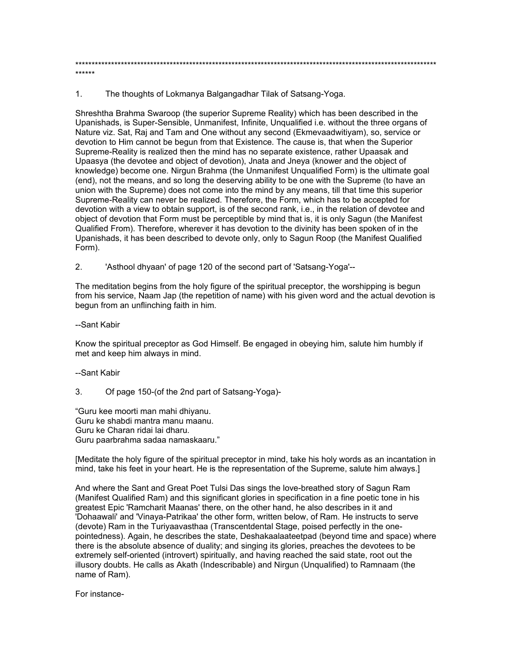\*\*\*\*\*\*\*\*\*\*\*\*\*\*\*\*\*\*\*\*\*\*\*\*\*\*\*\*\*\*\*\*\*\*\*\*\*\*\*\*\*\*\*\*\*\*\*\*\*\*\*\*\*\*\*\*\*\*\*\*\*\*\*\*\*\*\*\*\*\*\*\*\*\*\*\*\*\*\*\*\*\*\*\*\*\*\*\*\*\*\*\*\*\*\*\*\*\*\*\*\*\*\*\*\*\*\*\*\*\*\* \*\*\*\*\*\*

1. The thoughts of Lokmanya Balgangadhar Tilak of Satsang-Yoga.

Shreshtha Brahma Swaroop (the superior Supreme Reality) which has been described in the Upanishads, is Super-Sensible, Unmanifest, Infinite, Unqualified i.e. without the three organs of Nature viz. Sat, Raj and Tam and One without any second (Ekmevaadwitiyam), so, service or devotion to Him cannot be begun from that Existence. The cause is, that when the Superior Supreme-Reality is realized then the mind has no separate existence, rather Upaasak and Upaasya (the devotee and object of devotion), Jnata and Jneya (knower and the object of knowledge) become one. Nirgun Brahma (the Unmanifest Unqualified Form) is the ultimate goal (end), not the means, and so long the deserving ability to be one with the Supreme (to have an union with the Supreme) does not come into the mind by any means, till that time this superior Supreme-Reality can never be realized. Therefore, the Form, which has to be accepted for devotion with a view to obtain support, is of the second rank, i.e., in the relation of devotee and object of devotion that Form must be perceptible by mind that is, it is only Sagun (the Manifest Qualified From). Therefore, wherever it has devotion to the divinity has been spoken of in the Upanishads, it has been described to devote only, only to Sagun Roop (the Manifest Qualified Form).

2. 'Asthool dhyaan' of page 120 of the second part of 'Satsang-Yoga'--

The meditation begins from the holy figure of the spiritual preceptor, the worshipping is begun from his service, Naam Jap (the repetition of name) with his given word and the actual devotion is begun from an unflinching faith in him.

--Sant Kabir

Know the spiritual preceptor as God Himself. Be engaged in obeying him, salute him humbly if met and keep him always in mind.

--Sant Kabir

3. Of page 150-(of the 2nd part of Satsang-Yoga)-

"Guru kee moorti man mahi dhiyanu. Guru ke shabdi mantra manu maanu. Guru ke Charan ridai lai dharu. Guru paarbrahma sadaa namaskaaru."

[Meditate the holy figure of the spiritual preceptor in mind, take his holy words as an incantation in mind, take his feet in your heart. He is the representation of the Supreme, salute him always.]

And where the Sant and Great Poet Tulsi Das sings the love-breathed story of Sagun Ram (Manifest Qualified Ram) and this significant glories in specification in a fine poetic tone in his greatest Epic 'Ramcharit Maanas' there, on the other hand, he also describes in it and 'Dohaawali' and 'Vinaya-Patrikaa' the other form, written below, of Ram. He instructs to serve (devote) Ram in the Turiyaavasthaa (Transcentdental Stage, poised perfectly in the onepointedness). Again, he describes the state, Deshakaalaateetpad (beyond time and space) where there is the absolute absence of duality; and singing its glories, preaches the devotees to be extremely self-oriented (introvert) spiritually, and having reached the said state, root out the illusory doubts. He calls as Akath (Indescribable) and Nirgun (Unqualified) to Ramnaam (the name of Ram).

For instance-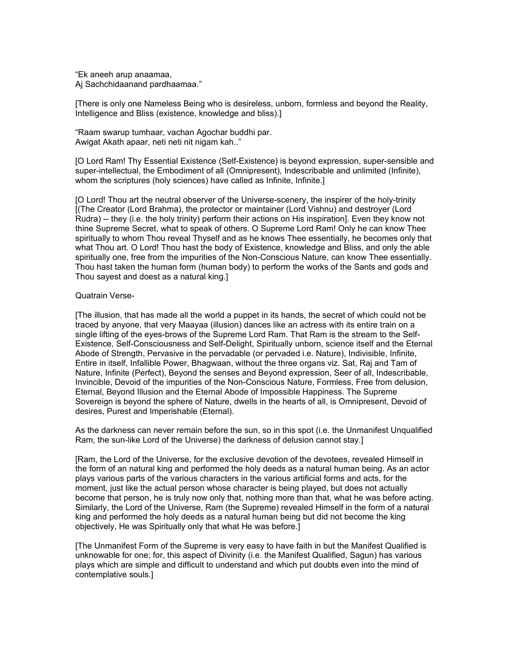"Ek aneeh arup anaamaa, Aj Sachchidaanand pardhaamaa."

[There is only one Nameless Being who is desireless, unborn, formless and beyond the Reality, Intelligence and Bliss (existence, knowledge and bliss).]

"Raam swarup tumhaar, vachan Agochar buddhi par. Awigat Akath apaar, neti neti nit nigam kah.."

[O Lord Ram! Thy Essential Existence (Self-Existence) is beyond expression, super-sensible and super-intellectual, the Embodiment of all (Omnipresent), Indescribable and unlimited (Infinite), whom the scriptures (holy sciences) have called as Infinite, Infinite.]

[O Lord! Thou art the neutral observer of the Universe-scenery, the inspirer of the holy-trinity [(The Creator (Lord Brahma), the protector or maintainer (Lord Vishnu) and destroyer (Lord Rudra) -- they (i.e. the holy trinity) perform their actions on His inspiration]. Even they know not thine Supreme Secret, what to speak of others. O Supreme Lord Ram! Only he can know Thee spiritually to whom Thou reveal Thyself and as he knows Thee essentially, he becomes only that what Thou art. O Lord! Thou hast the body of Existence, knowledge and Bliss, and only the able spiritually one, free from the impurities of the Non-Conscious Nature, can know Thee essentially. Thou hast taken the human form (human body) to perform the works of the Sants and gods and Thou sayest and doest as a natural king.]

## Quatrain Verse-

[The illusion, that has made all the world a puppet in its hands, the secret of which could not be traced by anyone, that very Maayaa (illusion) dances like an actress with its entire train on a single lifting of the eyes-brows of the Supreme Lord Ram. That Ram is the stream to the Self-Existence, Self-Consciousness and Self-Delight, Spiritually unborn, science itself and the Eternal Abode of Strength, Pervasive in the pervadable (or pervaded i.e. Nature), Indivisible, Infinite, Entire in itself, Infallible Power, Bhagwaan, without the three organs viz. Sat, Raj and Tam of Nature, Infinite (Perfect), Beyond the senses and Beyond expression, Seer of all, Indescribable, Invincible, Devoid of the impurities of the Non-Conscious Nature, Formless, Free from delusion, Eternal, Beyond Illusion and the Eternal Abode of Impossible Happiness. The Supreme Sovereign is beyond the sphere of Nature, dwells in the hearts of all, is Omnipresent, Devoid of desires, Purest and Imperishable (Eternal).

As the darkness can never remain before the sun, so in this spot (i.e. the Unmanifest Unqualified Ram, the sun-like Lord of the Universe) the darkness of delusion cannot stay.]

[Ram, the Lord of the Universe, for the exclusive devotion of the devotees, revealed Himself in the form of an natural king and performed the holy deeds as a natural human being. As an actor plays various parts of the various characters in the various artificial forms and acts, for the moment, just like the actual person whose character is being played, but does not actually become that person, he is truly now only that, nothing more than that, what he was before acting. Similarly, the Lord of the Universe, Ram (the Supreme) revealed Himself in the form of a natural king and performed the holy deeds as a natural human being but did not become the king objectively, He was Spiritually only that what He was before.]

[The Unmanifest Form of the Supreme is very easy to have faith in but the Manifest Qualified is unknowable for one; for, this aspect of Divinity (i.e. the Manifest Qualified, Sagun) has various plays which are simple and difficult to understand and which put doubts even into the mind of contemplative souls.]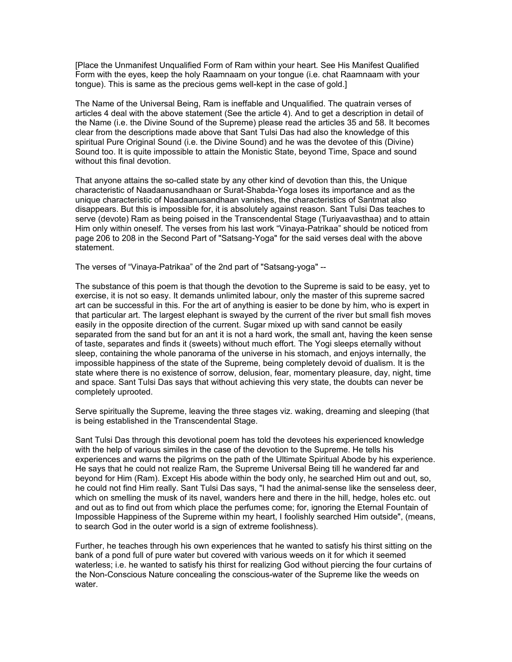[Place the Unmanifest Unqualified Form of Ram within your heart. See His Manifest Qualified Form with the eyes, keep the holy Raamnaam on your tongue (i.e. chat Raamnaam with your tongue). This is same as the precious gems well-kept in the case of gold.]

The Name of the Universal Being, Ram is ineffable and Unqualified. The quatrain verses of articles 4 deal with the above statement (See the article 4). And to get a description in detail of the Name (i.e. the Divine Sound of the Supreme) please read the articles 35 and 58. It becomes clear from the descriptions made above that Sant Tulsi Das had also the knowledge of this spiritual Pure Original Sound (i.e. the Divine Sound) and he was the devotee of this (Divine) Sound too. It is quite impossible to attain the Monistic State, beyond Time, Space and sound without this final devotion.

That anyone attains the so-called state by any other kind of devotion than this, the Unique characteristic of Naadaanusandhaan or Surat-Shabda-Yoga loses its importance and as the unique characteristic of Naadaanusandhaan vanishes, the characteristics of Santmat also disappears. But this is impossible for, it is absolutely against reason. Sant Tulsi Das teaches to serve (devote) Ram as being poised in the Transcendental Stage (Turiyaavasthaa) and to attain Him only within oneself. The verses from his last work "Vinaya-Patrikaa" should be noticed from page 206 to 208 in the Second Part of "Satsang-Yoga" for the said verses deal with the above statement.

The verses of "Vinaya-Patrikaa" of the 2nd part of "Satsang-yoga" --

The substance of this poem is that though the devotion to the Supreme is said to be easy, yet to exercise, it is not so easy. It demands unlimited labour, only the master of this supreme sacred art can be successful in this. For the art of anything is easier to be done by him, who is expert in that particular art. The largest elephant is swayed by the current of the river but small fish moves easily in the opposite direction of the current. Sugar mixed up with sand cannot be easily separated from the sand but for an ant it is not a hard work, the small ant, having the keen sense of taste, separates and finds it (sweets) without much effort. The Yogi sleeps eternally without sleep, containing the whole panorama of the universe in his stomach, and enjoys internally, the impossible happiness of the state of the Supreme, being completely devoid of dualism. It is the state where there is no existence of sorrow, delusion, fear, momentary pleasure, day, night, time and space. Sant Tulsi Das says that without achieving this very state, the doubts can never be completely uprooted.

Serve spiritually the Supreme, leaving the three stages viz. waking, dreaming and sleeping (that is being established in the Transcendental Stage.

Sant Tulsi Das through this devotional poem has told the devotees his experienced knowledge with the help of various similes in the case of the devotion to the Supreme. He tells his experiences and warns the pilgrims on the path of the Ultimate Spiritual Abode by his experience. He says that he could not realize Ram, the Supreme Universal Being till he wandered far and beyond for Him (Ram). Except His abode within the body only, he searched Him out and out, so, he could not find Him really. Sant Tulsi Das says, "I had the animal-sense like the senseless deer, which on smelling the musk of its navel, wanders here and there in the hill, hedge, holes etc. out and out as to find out from which place the perfumes come; for, ignoring the Eternal Fountain of Impossible Happiness of the Supreme within my heart, I foolishly searched Him outside", (means, to search God in the outer world is a sign of extreme foolishness).

Further, he teaches through his own experiences that he wanted to satisfy his thirst sitting on the bank of a pond full of pure water but covered with various weeds on it for which it seemed waterless; i.e. he wanted to satisfy his thirst for realizing God without piercing the four curtains of the Non-Conscious Nature concealing the conscious-water of the Supreme like the weeds on water.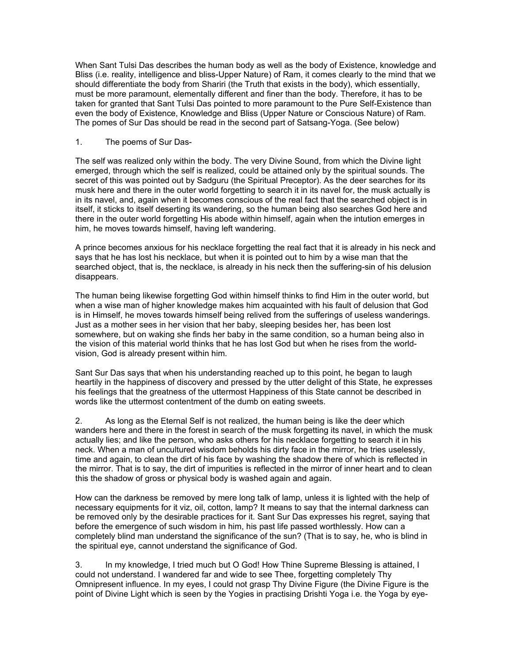When Sant Tulsi Das describes the human body as well as the body of Existence, knowledge and Bliss (i.e. reality, intelligence and bliss-Upper Nature) of Ram, it comes clearly to the mind that we should differentiate the body from Shariri (the Truth that exists in the body), which essentially, must be more paramount, elementally different and finer than the body. Therefore, it has to be taken for granted that Sant Tulsi Das pointed to more paramount to the Pure Self-Existence than even the body of Existence, Knowledge and Bliss (Upper Nature or Conscious Nature) of Ram. The pomes of Sur Das should be read in the second part of Satsang-Yoga. (See below)

## 1. The poems of Sur Das-

The self was realized only within the body. The very Divine Sound, from which the Divine light emerged, through which the self is realized, could be attained only by the spiritual sounds. The secret of this was pointed out by Sadguru (the Spiritual Preceptor). As the deer searches for its musk here and there in the outer world forgetting to search it in its navel for, the musk actually is in its navel, and, again when it becomes conscious of the real fact that the searched object is in itself, it sticks to itself deserting its wandering, so the human being also searches God here and there in the outer world forgetting His abode within himself, again when the intution emerges in him, he moves towards himself, having left wandering.

A prince becomes anxious for his necklace forgetting the real fact that it is already in his neck and says that he has lost his necklace, but when it is pointed out to him by a wise man that the searched object, that is, the necklace, is already in his neck then the suffering-sin of his delusion disappears.

The human being likewise forgetting God within himself thinks to find Him in the outer world, but when a wise man of higher knowledge makes him acquainted with his fault of delusion that God is in Himself, he moves towards himself being relived from the sufferings of useless wanderings. Just as a mother sees in her vision that her baby, sleeping besides her, has been lost somewhere, but on waking she finds her baby in the same condition, so a human being also in the vision of this material world thinks that he has lost God but when he rises from the worldvision, God is already present within him.

Sant Sur Das says that when his understanding reached up to this point, he began to laugh heartily in the happiness of discovery and pressed by the utter delight of this State, he expresses his feelings that the greatness of the uttermost Happiness of this State cannot be described in words like the uttermost contentment of the dumb on eating sweets.

2. As long as the Eternal Self is not realized, the human being is like the deer which wanders here and there in the forest in search of the musk forgetting its navel, in which the musk actually lies; and like the person, who asks others for his necklace forgetting to search it in his neck. When a man of uncultured wisdom beholds his dirty face in the mirror, he tries uselessly, time and again, to clean the dirt of his face by washing the shadow there of which is reflected in the mirror. That is to say, the dirt of impurities is reflected in the mirror of inner heart and to clean this the shadow of gross or physical body is washed again and again.

How can the darkness be removed by mere long talk of lamp, unless it is lighted with the help of necessary equipments for it viz, oil, cotton, lamp? It means to say that the internal darkness can be removed only by the desirable practices for it. Sant Sur Das expresses his regret, saying that before the emergence of such wisdom in him, his past life passed worthlessly. How can a completely blind man understand the significance of the sun? (That is to say, he, who is blind in the spiritual eye, cannot understand the significance of God.

3. In my knowledge, I tried much but O God! How Thine Supreme Blessing is attained, I could not understand. I wandered far and wide to see Thee, forgetting completely Thy Omnipresent influence. In my eyes, I could not grasp Thy Divine Figure (the Divine Figure is the point of Divine Light which is seen by the Yogies in practising Drishti Yoga i.e. the Yoga by eye